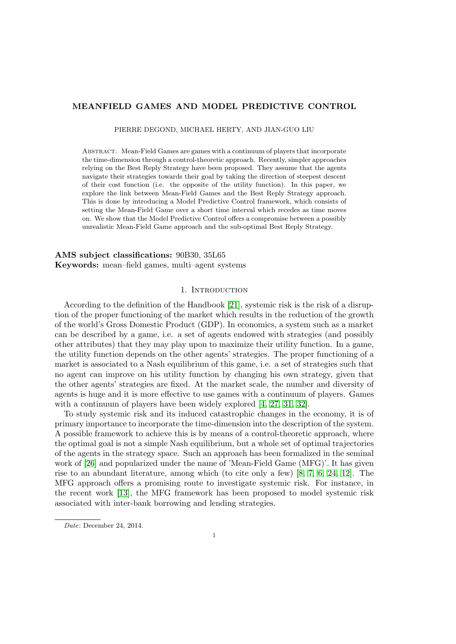# MEANFIELD GAMES AND MODEL PREDICTIVE CONTROL

PIERRE DEGOND, MICHAEL HERTY, AND JIAN-GUO LIU

Abstract. Mean-Field Games are games with a continuum of players that incorporate the time-dimension through a control-theoretic approach. Recently, simpler approaches relying on the Best Reply Strategy have been proposed. They assume that the agents navigate their strategies towards their goal by taking the direction of steepest descent of their cost function (i.e. the opposite of the utility function). In this paper, we explore the link between Mean-Field Games and the Best Reply Strategy approach. This is done by introducing a Model Predictive Control framework, which consists of setting the Mean-Field Game over a short time interval which recedes as time moves on. We show that the Model Predictive Control offers a compromise between a possibly unrealistic Mean-Field Game approach and the sub-optimal Best Reply Strategy.

AMS subject classifications: 90B30, 35L65 Keywords: mean–field games, multi–agent systems

## 1. INTRODUCTION

According to the definition of the Handbook [\[21\]](#page-21-0), systemic risk is the risk of a disruption of the proper functioning of the market which results in the reduction of the growth of the world's Gross Domestic Product (GDP). In economics, a system such as a market can be described by a game, i.e. a set of agents endowed with strategies (and possibly other attributes) that they may play upon to maximize their utility function. In a game, the utility function depends on the other agents' strategies. The proper functioning of a market is associated to a Nash equilibrium of this game, i.e. a set of strategies such that no agent can improve on his utility function by changing his own strategy, given that the other agents' strategies are fixed. At the market scale, the number and diversity of agents is huge and it is more effective to use games with a continuum of players. Games with a continuum of players have been widely explored [\[4,](#page-20-0) [27,](#page-21-1) [31,](#page-22-0) [32\]](#page-22-1).

To study systemic risk and its induced catastrophic changes in the economy, it is of primary importance to incorporate the time-dimension into the description of the system. A possible framework to achieve this is by means of a control-theoretic approach, where the optimal goal is not a simple Nash equilibrium, but a whole set of optimal trajectories of the agents in the strategy space. Such an approach has been formalized in the seminal work of [\[26\]](#page-21-2) and popularized under the name of 'Mean-Field Game (MFG)'. It has given rise to an abundant literature, among which (to cite only a few) [\[8,](#page-21-3) [7,](#page-21-4) [6,](#page-21-5) [24,](#page-21-6) [12\]](#page-21-7). The MFG approach offers a promising route to investigate systemic risk. For instance, in the recent work [\[13\]](#page-21-8), the MFG framework has been proposed to model systemic risk associated with inter-bank borrowing and lending strategies.

Date: December 24, 2014.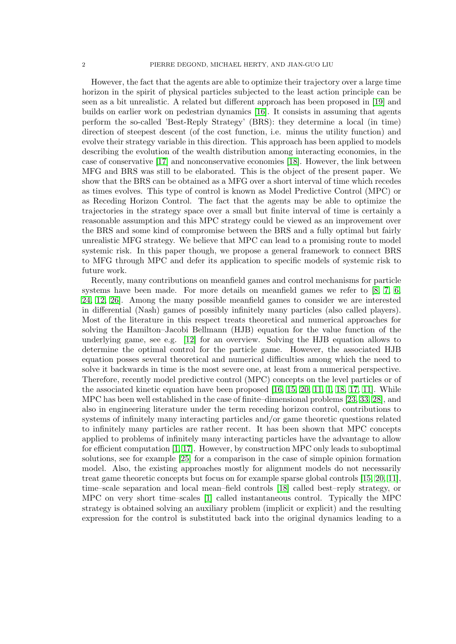However, the fact that the agents are able to optimize their trajectory over a large time horizon in the spirit of physical particles subjected to the least action principle can be seen as a bit unrealistic. A related but different approach has been proposed in [\[19\]](#page-21-9) and builds on earlier work on pedestrian dynamics [\[16\]](#page-21-10). It consists in assuming that agents perform the so-called 'Best-Reply Strategy' (BRS): they determine a local (in time) direction of steepest descent (of the cost function, i.e. minus the utility function) and evolve their strategy variable in this direction. This approach has been applied to models describing the evolution of the wealth distribution among interacting economies, in the case of conservative [\[17\]](#page-21-11) and nonconservative economies [\[18\]](#page-21-12). However, the link between MFG and BRS was still to be elaborated. This is the object of the present paper. We show that the BRS can be obtained as a MFG over a short interval of time which recedes as times evolves. This type of control is known as Model Predictive Control (MPC) or as Receding Horizon Control. The fact that the agents may be able to optimize the trajectories in the strategy space over a small but finite interval of time is certainly a reasonable assumption and this MPC strategy could be viewed as an improvement over the BRS and some kind of compromise between the BRS and a fully optimal but fairly unrealistic MFG strategy. We believe that MPC can lead to a promising route to model systemic risk. In this paper though, we propose a general framework to connect BRS to MFG through MPC and defer its application to specific models of systemic risk to future work.

Recently, many contributions on meanfield games and control mechanisms for particle systems have been made. For more details on meanfield games we refer to  $[8, 7, 6,$  $[8, 7, 6,$  $[8, 7, 6,$ [24,](#page-21-6) [12,](#page-21-7) [26\]](#page-21-2). Among the many possible meanfield games to consider we are interested in differential (Nash) games of possibly infinitely many particles (also called players). Most of the literature in this respect treats theoretical and numerical approaches for solving the Hamilton–Jacobi Bellmann (HJB) equation for the value function of the underlying game, see e.g. [\[12\]](#page-21-7) for an overview. Solving the HJB equation allows to determine the optimal control for the particle game. However, the associated HJB equation posses several theoretical and numerical difficulties among which the need to solve it backwards in time is the most severe one, at least from a numerical perspective. Therefore, recently model predictive control (MPC) concepts on the level particles or of the associated kinetic equation have been proposed [\[16,](#page-21-10) [15,](#page-21-13) [20,](#page-21-14) [11,](#page-21-15) [1,](#page-20-1) [18,](#page-21-12) [17,](#page-21-11) [11\]](#page-21-15). While MPC has been well established in the case of finite–dimensional problems [\[23,](#page-21-16) [33,](#page-22-2) [28\]](#page-21-17), and also in engineering literature under the term receding horizon control, contributions to systems of infinitely many interacting particles and/or game theoretic questions related to infinitely many particles are rather recent. It has been shown that MPC concepts applied to problems of infinitely many interacting particles have the advantage to allow for efficient computation [\[1,](#page-20-1) [17\]](#page-21-11). However, by construction MPC only leads to suboptimal solutions, see for example [\[25\]](#page-21-18) for a comparison in the case of simple opinion formation model. Also, the existing approaches mostly for alignment models do not necessarily treat game theoretic concepts but focus on for example sparse global controls [\[15,](#page-21-13) [20,](#page-21-14) [11\]](#page-21-15), time–scale separation and local mean–field controls [\[18\]](#page-21-12) called best–reply strategy, or MPC on very short time–scales [\[1\]](#page-20-1) called instantaneous control. Typically the MPC strategy is obtained solving an auxiliary problem (implicit or explicit) and the resulting expression for the control is substituted back into the original dynamics leading to a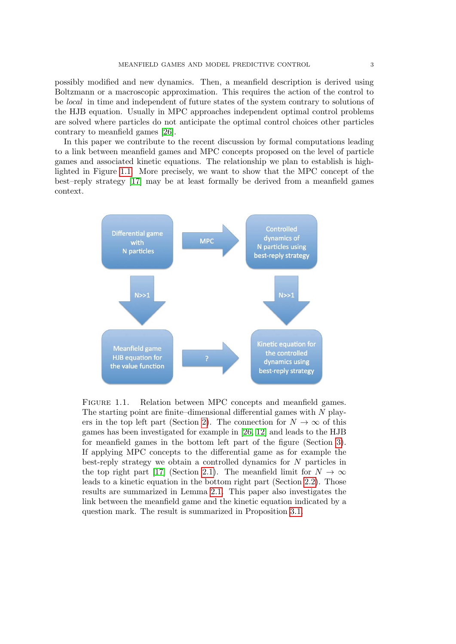possibly modified and new dynamics. Then, a meanfield description is derived using Boltzmann or a macroscopic approximation. This requires the action of the control to be local in time and independent of future states of the system contrary to solutions of the HJB equation. Usually in MPC approaches independent optimal control problems are solved where particles do not anticipate the optimal control choices other particles contrary to meanfield games [\[26\]](#page-21-2).

In this paper we contribute to the recent discussion by formal computations leading to a link between meanfield games and MPC concepts proposed on the level of particle games and associated kinetic equations. The relationship we plan to establish is highlighted in Figure [1.1.](#page-2-0) More precisely, we want to show that the MPC concept of the best–reply strategy [\[17\]](#page-21-11) may be at least formally be derived from a meanfield games context.



<span id="page-2-0"></span>FIGURE 1.1. Relation between MPC concepts and meanfield games. The starting point are finite–dimensional differential games with  $N$  play-ers in the top left part (Section [2\)](#page-3-0). The connection for  $N \to \infty$  of this games has been investigated for example in [\[26,](#page-21-2) [12\]](#page-21-7) and leads to the HJB for meanfield games in the bottom left part of the figure (Section [3\)](#page-8-0). If applying MPC concepts to the differential game as for example the best-reply strategy we obtain a controlled dynamics for N particles in the top right part [\[17\]](#page-21-11) (Section [2.1\)](#page-5-0). The meanfield limit for  $N \to \infty$ leads to a kinetic equation in the bottom right part (Section [2.2\)](#page-6-0). Those results are summarized in Lemma [2.1.](#page-7-0) This paper also investigates the link between the meanfield game and the kinetic equation indicated by a question mark. The result is summarized in Proposition [3.1.](#page-17-0)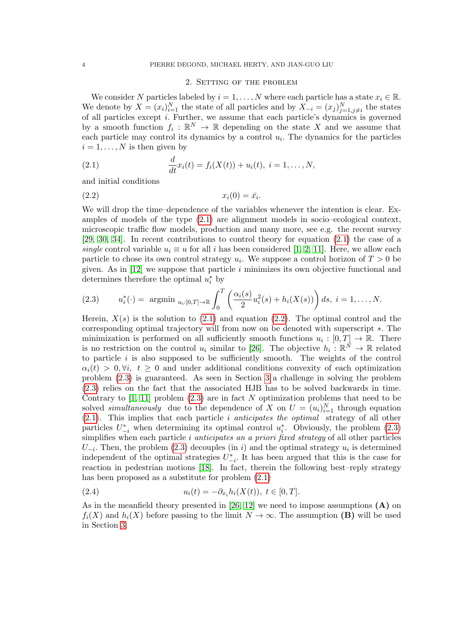## <span id="page-3-2"></span><span id="page-3-1"></span>2. Setting of the problem

<span id="page-3-0"></span>We consider N particles labeled by  $i = 1, \ldots, N$  where each particle has a state  $x_i \in \mathbb{R}$ . We denote by  $X = (x_i)_{i=1}^N$  the state of all particles and by  $X_{-i} = (x_j)_{j=1, j\neq i}^N$  the states of all particles except i. Further, we assume that each particle's dynamics is governed by a smooth function  $f_i: \mathbb{R}^N \to \mathbb{R}$  depending on the state X and we assume that each particle may control its dynamics by a control  $u_i$ . The dynamics for the particles  $i = 1, \ldots, N$  is then given by

(2.1) 
$$
\frac{d}{dt}x_i(t) = f_i(X(t)) + u_i(t), \ i = 1, ..., N,
$$

and initial conditions

$$
(2.2) \t\t x_i(0) = \bar{x_i}.
$$

We will drop the time–dependence of the variables whenever the intention is clear. Examples of models of the type [\(2.1\)](#page-3-1) are alignment models in socio–ecological context, microscopic traffic flow models, production and many more, see e.g. the recent survey [\[29,](#page-21-19) [30,](#page-21-20) [34\]](#page-22-3). In recent contributions to control theory for equation [\(2.1\)](#page-3-1) the case of a single control variable  $u_i \equiv u$  for all i has been considered [\[1,](#page-20-1) [2,](#page-20-2) [11\]](#page-21-15). Here, we allow each particle to chose its own control strategy  $u_i$ . We suppose a control horizon of  $T > 0$  be given. As in  $[12]$  we suppose that particle i minimizes its own objective functional and determines therefore the optimal  $u_i^*$  by

<span id="page-3-3"></span>(2.3) 
$$
u_i^*(\cdot) = \text{argmin } u_{i:[0,T] \to \mathbb{R}} \int_0^T \left( \frac{\alpha_i(s)}{2} u_i^2(s) + h_i(X(s)) \right) ds, \ i = 1, \dots, N.
$$

Herein,  $X(s)$  is the solution to [\(2.1\)](#page-3-1) and equation [\(2.2\)](#page-3-2). The optimal control and the corresponding optimal trajectory will from now on be denoted with superscript ∗. The minimization is performed on all sufficiently smooth functions  $u_i : [0, T] \to \mathbb{R}$ . There is no restriction on the control  $u_i$  similar to [\[26\]](#page-21-2). The objective  $h_i : \mathbb{R}^N \to \mathbb{R}$  related to particle  $i$  is also supposed to be sufficiently smooth. The weights of the control  $\alpha_i(t) > 0, \forall i, t \geq 0$  and under additional conditions convexity of each optimization problem [\(2.3\)](#page-3-3) is guaranteed. As seen in Section [3](#page-8-0) a challenge in solving the problem [\(2.3\)](#page-3-3) relies on the fact that the associated HJB has to be solved backwards in time. Contrary to  $[1, 11]$  $[1, 11]$  problem  $(2.3)$  are in fact N optimization problems that need to be solved *simultaneously* due to the dependence of X on  $U = (u_i)_{i=1}^N$  through equation [\(2.1\)](#page-3-1). This implies that each particle i anticipates the optimal strategy of all other particles  $U_{-i}^*$  when determining its optimal control  $u_i^*$ . Obviously, the problem [\(2.3\)](#page-3-3) simplifies when each particle *i* anticipates an a priori fixed strategy of all other particles  $U_{-i}$ . Then, the problem [\(2.3\)](#page-3-3) decouples (in i) and the optimal strategy  $u_i$  is determined independent of the optimal strategies  $U_{-i}^*$ . It has been argued that this is the case for reaction in pedestrian motions [\[18\]](#page-21-12). In fact, therein the following best–reply strategy has been proposed as a substitute for problem [\(2.1\)](#page-3-1)

<span id="page-3-4"></span>(2.4) 
$$
u_i(t) = -\partial_{x_i} h_i(X(t)), \ t \in [0, T].
$$

As in the meanfield theory presented in [\[26,](#page-21-2) [12\]](#page-21-7) we need to impose assumptions  $(A)$  on  $f_i(X)$  and  $h_i(X)$  before passing to the limit  $N \to \infty$ . The assumption (B) will be used in Section [3.](#page-8-0)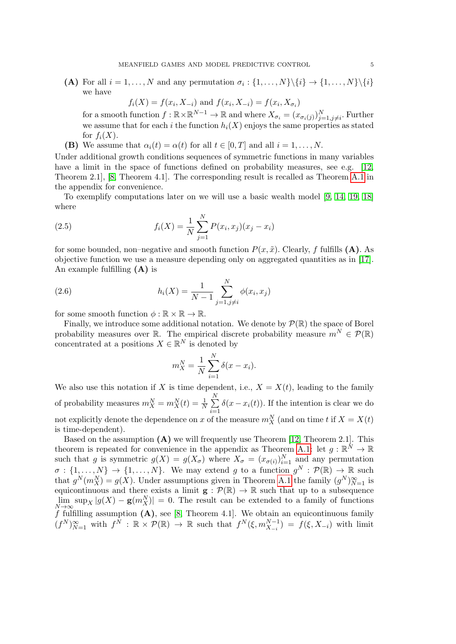(A) For all  $i = 1, ..., N$  and any permutation  $\sigma_i : \{1, ..., N\} \setminus \{i\} \rightarrow \{1, ..., N\} \setminus \{i\}$ we have

 $f_i(X) = f(x_i, X_{-i})$  and  $f(x_i, X_{-i}) = f(x_i, X_{\sigma_i})$ 

for a smooth function  $f : \mathbb{R} \times \mathbb{R}^{N-1} \to \mathbb{R}$  and where  $X_{\sigma_i} = (x_{\sigma_i(j)})_{j=1, j\neq i}^N$ . Further we assume that for each i the function  $h_i(X)$  enjoys the same properties as stated for  $f_i(X)$ .

(B) We assume that  $\alpha_i(t) = \alpha(t)$  for all  $t \in [0, T]$  and all  $i = 1, \ldots, N$ .

Under additional growth conditions sequences of symmetric functions in many variables have a limit in the space of functions defined on probability measures, see e.g. [\[12,](#page-21-7) Theorem 2.1], [\[8,](#page-21-3) Theorem 4.1]. The corresponding result is recalled as Theorem [A.1](#page-18-0) in the appendix for convenience.

To exemplify computations later on we will use a basic wealth model [\[9,](#page-21-21) [14,](#page-21-22) [19,](#page-21-9) [18\]](#page-21-12) where

(2.5) 
$$
f_i(X) = \frac{1}{N} \sum_{j=1}^{N} P(x_i, x_j)(x_j - x_i)
$$

for some bounded, non–negative and smooth function  $P(x, \tilde{x})$ . Clearly, f fulfills (A). As objective function we use a measure depending only on aggregated quantities as in [\[17\]](#page-21-11). An example fulfilling  $(A)$  is

(2.6) 
$$
h_i(X) = \frac{1}{N-1} \sum_{j=1, j \neq i}^{N} \phi(x_i, x_j)
$$

for some smooth function  $\phi : \mathbb{R} \times \mathbb{R} \to \mathbb{R}$ .

Finally, we introduce some additional notation. We denote by  $\mathcal{P}(\mathbb{R})$  the space of Borel probability measures over R. The empirical discrete probability measure  $m^N \in \mathcal{P}(\mathbb{R})$ concentrated at a positions  $X \in \mathbb{R}^N$  is denoted by

$$
m_X^N = \frac{1}{N} \sum_{i=1}^N \delta(x - x_i).
$$

We also use this notation if X is time dependent, i.e.,  $X = X(t)$ , leading to the family of probability measures  $m_X^N = m_X^N(t) = \frac{1}{N} \sum_{i=1}^N$  $i=1$  $\delta(x - x_i(t))$ . If the intention is clear we do not explicitly denote the dependence on x of the measure  $m_X^N$  (and on time t if  $X = X(t)$ is time-dependent).

Based on the assumption  $(A)$  we will frequently use Theorem [\[12,](#page-21-7) Theorem 2.1]. This theorem is repeated for convenience in the appendix as Theorem [A.1:](#page-18-0) let  $g: \mathbb{R}^N \to \mathbb{R}$ such that g is symmetric  $g(X) = g(X_{\sigma})$  where  $X_{\sigma} = (x_{\sigma(i)})_{i=1}^{N}$  and any permutation  $\sigma : \{1, \ldots, N\} \to \{1, \ldots, N\}$ . We may extend g to a function  $g^N : \mathcal{P}(\mathbb{R}) \to \mathbb{R}$  such that  $g^N(m_X^N) = g(X)$ . Under assumptions given in Theorem [A.1](#page-18-0) the family  $(g^N)_{N=1}^{\infty}$  is equicontinuous and there exists a limit  $\mathbf{g} : \mathcal{P}(\mathbb{R}) \to \mathbb{R}$  such that up to a subsequence  $\lim_{N\to\infty} \sup_X |g(X) - g(m_X^N)| = 0.$  The result can be extended to a family of functions f fulfilling assumption  $(A)$ , see [\[8,](#page-21-3) Theorem 4.1]. We obtain an equicontinuous family  $(f^N)_{N=1}^{\infty}$  with  $f^N : \mathbb{R} \times \mathcal{P}(\mathbb{R}) \to \mathbb{R}$  such that  $f^N(\xi, m_{X_{-i}}^{N-1}) = f(\xi, X_{-i})$  with limit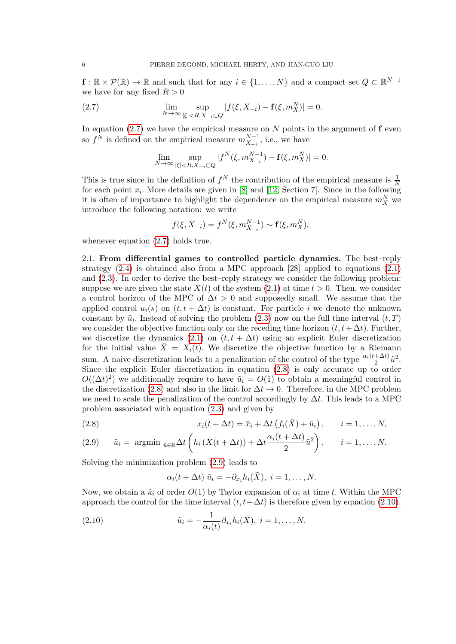$f: \mathbb{R} \times \mathcal{P}(\mathbb{R}) \to \mathbb{R}$  and such that for any  $i \in \{1, ..., N\}$  and a compact set  $Q \subset \mathbb{R}^{N-1}$ we have for any fixed  $R > 0$ 

(2.7) 
$$
\lim_{N \to \infty} \sup_{|\xi| < R, X_{-i} \subset Q} |f(\xi, X_{-i}) - \mathbf{f}(\xi, m_X^N)| = 0.
$$

In equation  $(2.7)$  we have the empirical measure on N points in the argument of f even so  $f^N$  is defined on the empirical measure  $m_{X_{-i}}^{N-1}$ , i.e., we have

<span id="page-5-1"></span>
$$
\lim_{N \to \infty} \sup_{|\xi| < R, X_{-i} \subset Q} |f^N(\xi, m_{X_{-i}}^{N-1}) - \mathbf{f}(\xi, m_X^N)| = 0.
$$

This is true since in the definition of  $f^N$  the contribution of the empirical measure is  $\frac{1}{N}$ for each point  $x_i$ . More details are given in [\[8\]](#page-21-3) and [\[12,](#page-21-7) Section 7]. Since in the following it is often of importance to highlight the dependence on the empirical measure  $m_X^N$  we introduce the following notation: we write

$$
f(\xi, X_{-i}) = f^N(\xi, m_{X_{-i}}^{N-1}) \sim \mathbf{f}(\xi, m_X^N),
$$

whenever equation  $(2.7)$  holds true.

<span id="page-5-0"></span>2.1. From differential games to controlled particle dynamics. The best–reply strategy  $(2.4)$  is obtained also from a MPC approach [\[28\]](#page-21-17) applied to equations  $(2.1)$ and [\(2.3\)](#page-3-3). In order to derive the best–reply strategy we consider the following problem: suppose we are given the state  $X(t)$  of the system  $(2.1)$  at time  $t > 0$ . Then, we consider a control horizon of the MPC of  $\Delta t > 0$  and supposedly small. We assume that the applied control  $u_i(s)$  on  $(t, t + \Delta t)$  is constant. For particle i we denote the unknown constant by  $\tilde{u}_i$ . Instead of solving the problem [\(2.3\)](#page-3-3) now on the full time interval  $(t, T)$ we consider the objective function only on the receding time horizon  $(t, t + \Delta t)$ . Further, we discretize the dynamics [\(2.1\)](#page-3-1) on  $(t, t + \Delta t)$  using an explicit Euler discretization for the initial value  $\bar{X} = X_i(t)$ . We discretize the objective function by a Riemann sum. A naive discretization leads to a penalization of the control of the type  $\frac{\alpha_i(t+\Delta t)}{2}\tilde{u}^2$ . Since the explicit Euler discretization in equation [\(2.8\)](#page-5-2) is only accurate up to order  $O((\Delta t)^2)$  we additionally require to have  $\tilde{u}_i = O(1)$  to obtain a meaningful control in the discretization [\(2.8\)](#page-5-2) and also in the limit for  $\Delta t \to 0$ . Therefore, in the MPC problem we need to scale the penalization of the control accordingly by  $\Delta t$ . This leads to a MPC problem associated with equation [\(2.3\)](#page-3-3) and given by

<span id="page-5-2"></span>(2.8) 
$$
x_i(t + \Delta t) = \bar{x}_i + \Delta t \left( f_i(\bar{X}) + \tilde{u}_i \right), \qquad i = 1, \ldots, N,
$$

<span id="page-5-3"></span>(2.9) 
$$
\tilde{u}_i = \operatorname{argmin}_{\tilde{u} \in \mathbb{R}} \Delta t \left( h_i \left( X(t + \Delta t) \right) + \Delta t \frac{\alpha_i (t + \Delta t)}{2} \tilde{u}^2 \right), \quad i = 1, ..., N.
$$

Solving the minimization problem [\(2.9\)](#page-5-3) leads to

<span id="page-5-4"></span>
$$
\alpha_i(t + \Delta t) \tilde{u}_i = -\partial_{x_i} h_i(\bar{X}), \ i = 1, \dots, N.
$$

Now, we obtain a  $\tilde{u}_i$  of order  $O(1)$  by Taylor expansion of  $\alpha_i$  at time t. Within the MPC approach the control for the time interval  $(t, t+\Delta t)$  is therefore given by equation [\(2.10\)](#page-5-4).

(2.10) 
$$
\tilde{u}_i = -\frac{1}{\alpha_i(t)} \partial_{x_i} h_i(\bar{X}), \quad i = 1, \ldots, N.
$$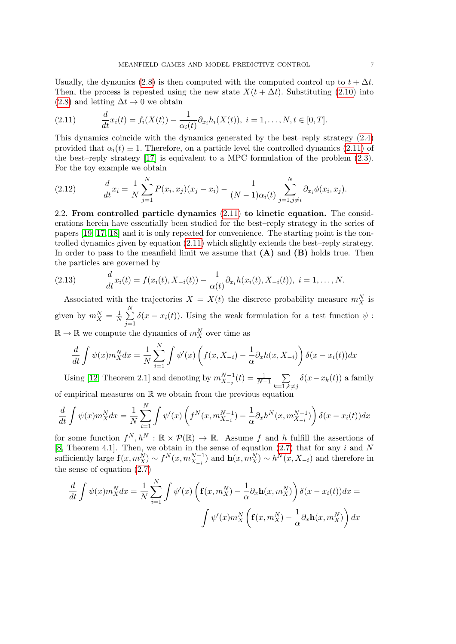Usually, the dynamics [\(2.8\)](#page-5-2) is then computed with the computed control up to  $t + \Delta t$ . Then, the process is repeated using the new state  $X(t + \Delta t)$ . Substituting [\(2.10\)](#page-5-4) into  $(2.8)$  and letting  $\Delta t \rightarrow 0$  we obtain

<span id="page-6-1"></span>(2.11) 
$$
\frac{d}{dt}x_i(t) = f_i(X(t)) - \frac{1}{\alpha_i(t)} \partial_{x_i} h_i(X(t)), \ i = 1, ..., N, t \in [0, T].
$$

This dynamics coincide with the dynamics generated by the best–reply strategy [\(2.4\)](#page-3-4) provided that  $\alpha_i(t) \equiv 1$ . Therefore, on a particle level the controlled dynamics [\(2.11\)](#page-6-1) of the best–reply strategy [\[17\]](#page-21-11) is equivalent to a MPC formulation of the problem [\(2.3\)](#page-3-3). For the toy example we obtain

(2.12) 
$$
\frac{d}{dt}x_i = \frac{1}{N}\sum_{j=1}^N P(x_i, x_j)(x_j - x_i) - \frac{1}{(N-1)\alpha_i(t)}\sum_{j=1, j\neq i}^N \partial_{x_i} \phi(x_i, x_j).
$$

<span id="page-6-0"></span>2.2. From controlled particle dynamics [\(2.11\)](#page-6-1) to kinetic equation. The considerations herein have essentially been studied for the best–reply strategy in the series of papers [\[19,](#page-21-9) [17,](#page-21-11) [18\]](#page-21-12) and it is only repeated for convenience. The starting point is the controlled dynamics given by equation [\(2.11\)](#page-6-1) which slightly extends the best–reply strategy. In order to pass to the meanfield limit we assume that  $(A)$  and  $(B)$  holds true. Then the particles are governed by

(2.13) 
$$
\frac{d}{dt}x_i(t) = f(x_i(t), X_{-i}(t)) - \frac{1}{\alpha(t)} \partial_{x_i} h(x_i(t), X_{-i}(t)), \ i = 1, ..., N.
$$

Associated with the trajectories  $X = X(t)$  the discrete probability measure  $m_X^N$  is given by  $m_X^N = \frac{1}{N}$  $\frac{1}{N}$  $\sum_{n=1}^{N}$  $j=1$  $\delta(x - x_i(t))$ . Using the weak formulation for a test function  $\psi$ :  $\mathbb{R} \to \mathbb{R}$  we compute the dynamics of  $m_X^N$  over time as

$$
\frac{d}{dt} \int \psi(x) m_X^N dx = \frac{1}{N} \sum_{i=1}^N \int \psi'(x) \left( f(x, X_{-i}) - \frac{1}{\alpha} \partial_x h(x, X_{-i}) \right) \delta(x - x_i(t)) dx
$$

Using [\[12,](#page-21-7) Theorem 2.1] and denoting by  $m_{X_{-j}}^{N-1}(t) = \frac{1}{N-1} \sum_{i=1}^{N-1}$  $k=1, k\neq j$  $\delta(x-x_k(t))$  a family of empirical measures on R we obtain from the previous equation

$$
\frac{d}{dt}\int \psi(x)m_X^N dx = \frac{1}{N}\sum_{i=1}^N \int \psi'(x)\left(f^N(x,m_{X_{-i}}^{N-1}) - \frac{1}{\alpha}\partial_x h^N(x,m_{X_{-i}}^{N-1})\right)\delta(x-x_i(t))dx
$$

for some function  $f^N, h^N : \mathbb{R} \times \mathcal{P}(\mathbb{R}) \to \mathbb{R}$ . Assume f and h fulfill the assertions of [\[8,](#page-21-3) Theorem 4.1]. Then, we obtain in the sense of equation  $(2.7)$  that for any i and N sufficiently large  $f(x, m_X^N) \sim f^N(x, m_{X_{-i}}^{N-1})$  and  $h(x, m_X^N) \sim h^N(x, X_{-i})$  and therefore in the sense of equation [\(2.7\)](#page-5-1)

$$
\frac{d}{dt} \int \psi(x) m_X^N dx = \frac{1}{N} \sum_{i=1}^N \int \psi'(x) \left( \mathbf{f}(x, m_X^N) - \frac{1}{\alpha} \partial_x \mathbf{h}(x, m_X^N) \right) \delta(x - x_i(t)) dx =
$$
\n
$$
\int \psi'(x) m_X^N \left( \mathbf{f}(x, m_X^N) - \frac{1}{\alpha} \partial_x \mathbf{h}(x, m_X^N) \right) dx
$$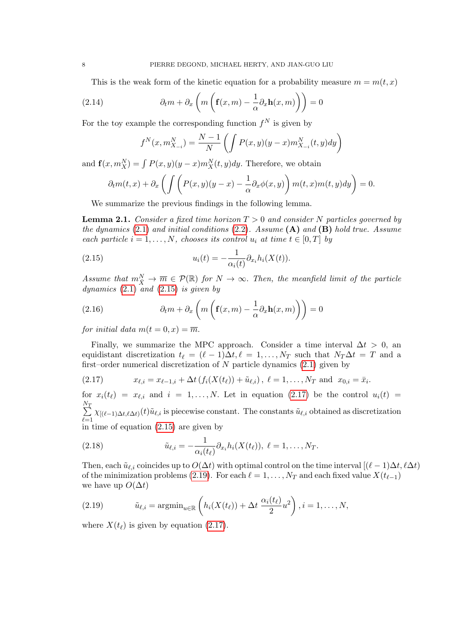This is the weak form of the kinetic equation for a probability measure  $m = m(t, x)$ 

(2.14) 
$$
\partial_t m + \partial_x \left( m \left( \mathbf{f}(x, m) - \frac{1}{\alpha} \partial_x \mathbf{h}(x, m) \right) \right) = 0
$$

For the toy example the corresponding function  $f^N$  is given by

<span id="page-7-4"></span>
$$
f^{N}(x, m_{X_{-i}}^{N}) = \frac{N-1}{N} \left( \int P(x, y)(y - x) m_{X_{-i}}^{N}(t, y) dy \right)
$$

and  $\mathbf{f}(x, m_X^N) = \int P(x, y)(y - x) m_X^N(t, y) dy$ . Therefore, we obtain

$$
\partial_t m(t,x) + \partial_x \left( \int \left( P(x,y)(y-x) - \frac{1}{\alpha} \partial_x \phi(x,y) \right) m(t,x) m(t,y) dy \right) = 0.
$$

We summarize the previous findings in the following lemma.

<span id="page-7-0"></span>**Lemma 2.1.** Consider a fixed time horizon  $T > 0$  and consider N particles governed by the dynamics  $(2.1)$  and initial conditions  $(2.2)$ . Assume  $(A)$  and  $(B)$  hold true. Assume each particle  $i = 1, ..., N$ , chooses its control  $u_i$  at time  $t \in [0, T]$  by

<span id="page-7-1"></span>(2.15) 
$$
u_i(t) = -\frac{1}{\alpha_i(t)} \partial_{x_i} h_i(X(t)).
$$

Assume that  $m_{\bar{X}}^N \to \overline{m} \in \mathcal{P}(\mathbb{R})$  for  $N \to \infty$ . Then, the meanfield limit of the particle dynamics  $(2.1)$  and  $(2.15)$  is given by

(2.16) 
$$
\partial_t m + \partial_x \left( m \left( \mathbf{f}(x, m) - \frac{1}{\alpha} \partial_x \mathbf{h}(x, m) \right) \right) = 0
$$

for initial data  $m(t = 0, x) = \overline{m}$ .

Finally, we summarize the MPC approach. Consider a time interval  $\Delta t > 0$ , and equidistant discretization  $t_\ell = (\ell - 1)\Delta t, \ell = 1, \ldots, N_T$  such that  $N_T \Delta t = T$  and a first–order numerical discretization of  $N$  particle dynamics  $(2.1)$  given by

<span id="page-7-2"></span>(2.17) 
$$
x_{\ell,i} = x_{\ell-1,i} + \Delta t \left( f_i(X(t_\ell)) + \tilde{u}_{\ell,i} \right), \ \ell = 1,\ldots,N_T \text{ and } x_{0,i} = \bar{x}_i.
$$

for  $x_i(t_\ell) = x_{\ell,i}$  and  $i = 1, ..., N$ . Let in equation [\(2.17\)](#page-7-2) be the control  $u_i(t) =$  $\sum_{i=1}^{N_T}$  $\sum_{\ell=1} \chi_{[(\ell-1)\Delta t,\ell\Delta t)}(t)\tilde{u}_{\ell,i}$  is piecewise constant. The constants  $\tilde{u}_{\ell,i}$  obtained as discretization in time of equation [\(2.15\)](#page-7-1) are given by

(2.18) 
$$
\tilde{u}_{\ell,i} = -\frac{1}{\alpha_i(t_\ell)} \partial_{x_i} h_i(X(t_\ell)), \ \ell = 1, \ldots, N_T.
$$

Then, each  $\tilde{u}_{\ell,i}$  coincides up to  $O(\Delta t)$  with optimal control on the time interval  $[(\ell - 1)\Delta t, \ell \Delta t]$ of the minimization problems [\(2.19\)](#page-7-3). For each  $\ell = 1, ..., N_T$  and each fixed value  $X(t_{\ell-1})$ we have up  $O(\Delta t)$ 

<span id="page-7-3"></span>(2.19) 
$$
\tilde{u}_{\ell,i} = \operatorname{argmin}_{u \in \mathbb{R}} \left( h_i(X(t_\ell)) + \Delta t \frac{\alpha_i(t_\ell)}{2} u^2 \right), i = 1, \dots, N,
$$

where  $X(t_\ell)$  is given by equation [\(2.17\)](#page-7-2).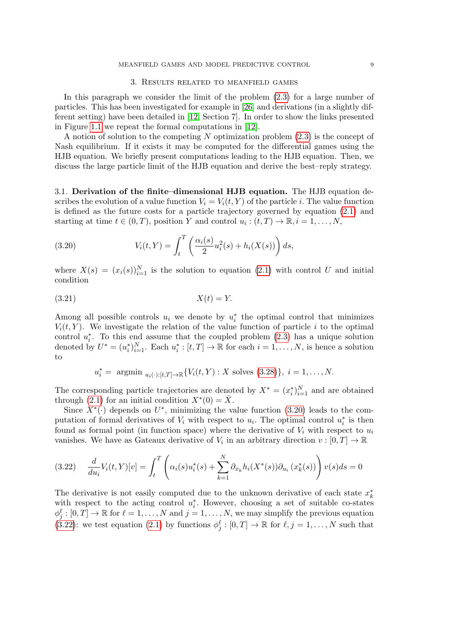#### 3. Results related to meanfield games

<span id="page-8-0"></span>In this paragraph we consider the limit of the problem [\(2.3\)](#page-3-3) for a large number of particles. This has been investigated for example in [\[26\]](#page-21-2) and derivations (in a slightly different setting) have been detailed in [\[12,](#page-21-7) Section 7]. In order to show the links presented in Figure [1.1](#page-2-0) we repeat the formal computations in [\[12\]](#page-21-7).

A notion of solution to the competing N optimization problem [\(2.3\)](#page-3-3) is the concept of Nash equilibrium. If it exists it may be computed for the differential games using the HJB equation. We briefly present computations leading to the HJB equation. Then, we discuss the large particle limit of the HJB equation and derive the best–reply strategy.

3.1. Derivation of the finite–dimensional HJB equation. The HJB equation describes the evolution of a value function  $V_i = V_i(t, Y)$  of the particle i. The value function is defined as the future costs for a particle trajectory governed by equation [\(2.1\)](#page-3-1) and starting at time  $t \in (0, T)$ , position Y and control  $u_i : (t, T) \to \mathbb{R}, i = 1, ..., N$ ,

<span id="page-8-1"></span>(3.20) 
$$
V_i(t,Y) = \int_t^T \left( \frac{\alpha_i(s)}{2} u_i^2(s) + h_i(X(s)) \right) ds,
$$

where  $X(s) = (x_i(s))_{i=1}^N$  is the solution to equation [\(2.1\)](#page-3-1) with control U and initial condition

$$
(3.21)\t\t\t X(t) = Y.
$$

Among all possible controls  $u_i$  we denote by  $u_i^*$  the optimal control that minimizes  $V_i(t, Y)$ . We investigate the relation of the value function of particle i to the optimal control  $u_i^*$ . To this end assume that the coupled problem  $(2.3)$  has a unique solution denoted by  $U^* = (u_i^*)_{i=1}^N$ . Each  $u_i^*: [t, T] \to \mathbb{R}$  for each  $i = 1, \ldots, N$ , is hence a solution to

$$
u_i^* = \text{ argmin } u_{i(\cdot):[t,T] \to \mathbb{R}} \{ V_i(t,Y) : X \text{ solves (3.28)} \}, i = 1, \dots, N.
$$

The corresponding particle trajectories are denoted by  $X^* = (x_i^*)_{i=1}^N$  and are obtained through [\(2.1\)](#page-3-1) for an initial condition  $X^*(0) = \overline{X}$ .

Since  $X^*(.)$  depends on  $U^*$ , minimizing the value function [\(3.20\)](#page-8-1) leads to the computation of formal derivatives of  $V_i$  with respect to  $u_i$ . The optimal control  $u_i^*$  is then found as formal point (in function space) where the derivative of  $V_i$  with respect to  $u_i$ vanishes. We have as Gateaux derivative of  $V_i$  in an arbitrary direction  $v : [0, T] \to \mathbb{R}$ 

<span id="page-8-2"></span>
$$
(3.22) \quad \frac{d}{du_i} V_i(t,Y)[v] = \int_t^T \left( \alpha_i(s) u_i^*(s) + \sum_{k=1}^N \partial_{x_k} h_i(X^*(s)) \partial_{u_i} (x_k^*(s)) \right) v(s) ds = 0
$$

The derivative is not easily computed due to the unknown derivative of each state  $x_k^*$ with respect to the acting control  $u_i^*$ . However, choosing a set of suitable co-states  $\phi_j^{\ell} : [0, T] \to \mathbb{R}$  for  $\ell = 1, \ldots, N$  and  $j = 1, \ldots, N$ , we may simplify the previous equation  $(3.22)$ : we test equation  $(2.1)$  by functions  $\phi_j^{\ell} : [0, T] \to \mathbb{R}$  for  $\ell, j = 1, \ldots, N$  such that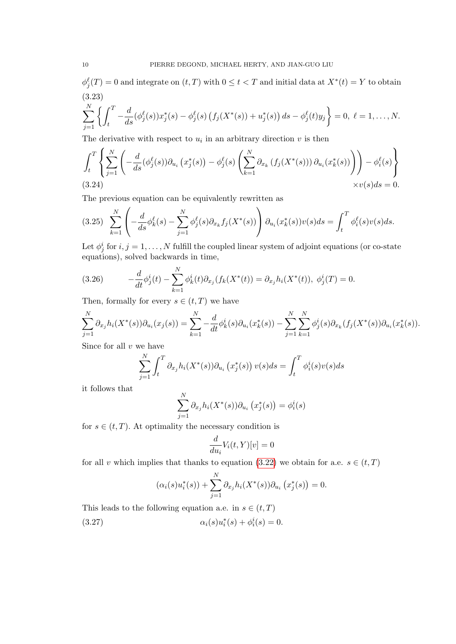<span id="page-9-2"></span> $\phi_j^{\ell}(T) = 0$  and integrate on  $(t, T)$  with  $0 \leq t < T$  and initial data at  $X^*(t) = Y$  to obtain (3.23)

$$
\sum_{j=1}^N \left\{ \int_t^T -\frac{d}{ds} (\phi_j^{\ell}(s)) x_j^*(s) - \phi_j^{\ell}(s) \left( f_j(X^*(s)) + u_j^*(s) \right) ds - \phi_j^{\ell}(t) y_j \right\} = 0, \ \ell = 1, \ldots, N.
$$

The derivative with respect to  $u_i$  in an arbitrary direction  $v$  is then

$$
\int_{t}^{T} \left\{ \sum_{j=1}^{N} \left( -\frac{d}{ds} (\phi_{j}^{\ell}(s)) \partial_{u_{i}} \left( x_{j}^{*}(s) \right) - \phi_{j}^{\ell}(s) \left( \sum_{k=1}^{N} \partial_{x_{k}} \left( f_{j}(X^{*}(s)) \right) \partial_{u_{i}} \left( x_{k}^{*}(s) \right) \right) \right) - \phi_{i}^{\ell}(s) \right\}
$$
\n(3.24)\n
$$
\times v(s) ds = 0.
$$

The previous equation can be equivalently rewritten as

$$
(3.25)\sum_{k=1}^{N}\left(-\frac{d}{ds}\phi_{k}^{\ell}(s)-\sum_{j=1}^{N}\phi_{j}^{\ell}(s)\partial_{x_{k}}f_{j}(X^{*}(s))\right)\partial_{u_{i}}(x_{k}^{*}(s))v(s)ds=\int_{t}^{T}\phi_{i}^{\ell}(s)v(s)ds.
$$

Let  $\phi_j^i$  for  $i, j = 1, ..., N$  fulfill the coupled linear system of adjoint equations (or co-state equations), solved backwards in time,

<span id="page-9-0"></span>(3.26) 
$$
-\frac{d}{dt}\phi_j^i(t) - \sum_{k=1}^N \phi_k^i(t)\partial_{x_j}(f_k(X^*(t))) = \partial_{x_j}h_i(X^*(t)), \ \phi_j^i(T) = 0.
$$

Then, formally for every  $s \in (t, T)$  we have

$$
\sum_{j=1}^{N} \partial_{x_j} h_i(X^*(s)) \partial_{u_i}(x_j(s)) = \sum_{k=1}^{N} -\frac{d}{dt} \phi_k^i(s) \partial_{u_i}(x_k^*(s)) - \sum_{j=1}^{N} \sum_{k=1}^{N} \phi_j^i(s) \partial_{x_k}(f_j(X^*(s)) \partial_{u_i}(x_k^*(s)).
$$

Since for all  $v$  we have

$$
\sum_{j=1}^{N} \int_{t}^{T} \partial_{x_{j}} h_{i}(X^{*}(s)) \partial_{u_{i}} (x_{j}^{*}(s)) v(s) ds = \int_{t}^{T} \phi_{i}^{i}(s) v(s) ds
$$

it follows that

$$
\sum_{j=1}^N \partial_{x_j} h_i(X^*(s)) \partial_{u_i} (x_j^*(s)) = \phi_i^i(s)
$$

for  $s \in (t, T)$ . At optimality the necessary condition is

$$
\frac{d}{du_i}V_i(t,Y)[v]=0
$$

for all v which implies that thanks to equation [\(3.22\)](#page-8-2) we obtain for a.e.  $s \in (t, T)$ 

$$
(\alpha_i(s)u_i^*(s)) + \sum_{j=1}^N \partial_{x_j} h_i(X^*(s))\partial_{u_i} (x_j^*(s)) = 0.
$$

<span id="page-9-1"></span>This leads to the following equation a.e. in  $s \in (t, T)$ (3.27)  $\alpha_i(s)u_i^*(s) + \phi_i^i(s) = 0.$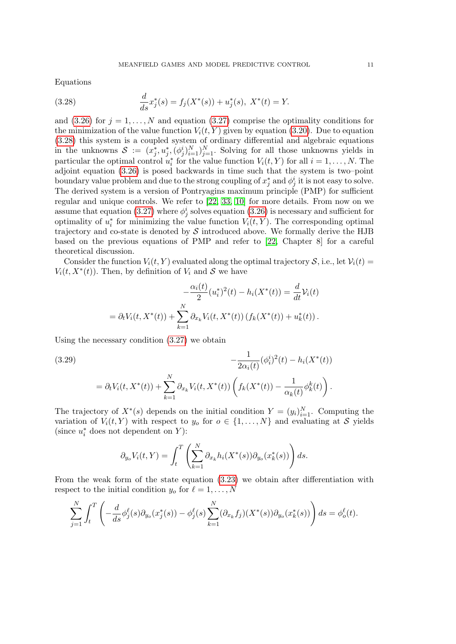Equations

<span id="page-10-0"></span>(3.28) 
$$
\frac{d}{ds}x_j^*(s) = f_j(X^*(s)) + u_j^*(s), \ X^*(t) = Y.
$$

and [\(3.26\)](#page-9-0) for  $j = 1, ..., N$  and equation [\(3.27\)](#page-9-1) comprise the optimality conditions for the minimization of the value function  $V_i(t, Y)$  given by equation [\(3.20\)](#page-8-1). Due to equation [\(3.28\)](#page-10-0) this system is a coupled system of ordinary differential and algebraic equations in the unknowns  $S := (x_j^*, u_j^*, (\phi_j^i)_{i=1}^N)_{j=1}^N$ . Solving for all those unknowns yields in particular the optimal control  $u_i^*$  for the value function  $V_i(t, Y)$  for all  $i = 1, ..., N$ . The adjoint equation [\(3.26\)](#page-9-0) is posed backwards in time such that the system is two–point boundary value problem and due to the strong coupling of  $x_j^*$  and  $\phi_j^i$  it is not easy to solve. The derived system is a version of Pontryagins maximum principle (PMP) for sufficient regular and unique controls. We refer to [\[22,](#page-21-23) [33,](#page-22-2) [10\]](#page-21-24) for more details. From now on we assume that equation [\(3.27\)](#page-9-1) where  $\phi_j^i$  solves equation [\(3.26\)](#page-9-0) is necessary and sufficient for optimality of  $u_i^*$  for minimizing the value function  $V_i(t, Y)$ . The corresponding optimal trajectory and co-state is denoted by  $S$  introduced above. We formally derive the HJB based on the previous equations of PMP and refer to [\[22,](#page-21-23) Chapter 8] for a careful theoretical discussion.

Consider the function  $V_i(t, Y)$  evaluated along the optimal trajectory  $S$ , i.e., let  $V_i(t)$  $V_i(t, X^*(t))$ . Then, by definition of  $V_i$  and  $S$  we have

$$
-\frac{\alpha_i(t)}{2}(u_i^*)^2(t) - h_i(X^*(t)) = \frac{d}{dt}V_i(t)
$$
  
=  $\partial_t V_i(t, X^*(t)) + \sum_{k=1}^N \partial_{x_k} V_i(t, X^*(t)) (f_k(X^*(t)) + u_k^*(t)).$ 

Using the necessary condition [\(3.27\)](#page-9-1) we obtain

<span id="page-10-1"></span>(3.29)  

$$
-\frac{1}{2\alpha_i(t)}(\phi_i^i)^2(t) - h_i(X^*(t))
$$

$$
= \partial_t V_i(t, X^*(t)) + \sum_{k=1}^N \partial_{x_k} V_i(t, X^*(t)) \left( f_k(X^*(t)) - \frac{1}{\alpha_k(t)} \phi_k^k(t) \right).
$$

The trajectory of  $X^*(s)$  depends on the initial condition  $Y = (y_i)_{i=1}^N$ . Computing the variation of  $V_i(t, Y)$  with respect to  $y_o$  for  $o \in \{1, ..., N\}$  and evaluating at S yields (since  $u_i^*$  does not dependent on Y):

$$
\partial_{y_o} V_i(t, Y) = \int_t^T \left( \sum_{k=1}^N \partial_{x_k} h_i(X^*(s)) \partial_{y_o}(x_k^*(s)) \right) ds.
$$

From the weak form of the state equation [\(3.23\)](#page-9-2) we obtain after differentiation with respect to the initial condition  $y_o$  for  $\ell = 1, \ldots, N$ 

$$
\sum_{j=1}^{N} \int_{t}^{T} \left( -\frac{d}{ds} \phi_{j}^{\ell}(s) \partial_{y_{o}}(x_{j}^{*}(s)) - \phi_{j}^{\ell}(s) \sum_{k=1}^{N} (\partial_{x_{k}} f_{j})(X^{*}(s)) \partial_{y_{o}}(x_{k}^{*}(s)) \right) ds = \phi_{o}^{\ell}(t).
$$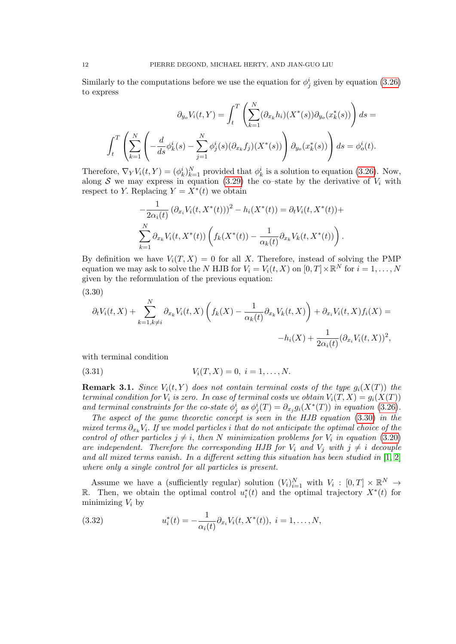Similarly to the computations before we use the equation for  $\phi_j^i$  given by equation [\(3.26\)](#page-9-0) to express

$$
\partial_{y_o} V_i(t, Y) = \int_t^T \left( \sum_{k=1}^N (\partial_{x_k} h_i) (X^*(s)) \partial_{y_o} (x_k^*(s)) \right) ds =
$$
  

$$
\int_t^T \left( \sum_{k=1}^N \left( -\frac{d}{ds} \phi_k^i(s) - \sum_{j=1}^N \phi_j^i(s) (\partial_{x_k} f_j) (X^*(s)) \right) \partial_{y_o} (x_k^*(s)) \right) ds = \phi_o^i(t).
$$

Therefore,  $\nabla_Y V_i(t, Y) = (\phi_k^i)_{k=1}^N$  provided that  $\phi_k^i$  is a solution to equation [\(3.26\)](#page-9-0). Now, along S we may express in equation [\(3.29\)](#page-10-1) the co–state by the derivative of  $V_i$  with respect to Y. Replacing  $Y = X^*(t)$  we obtain

$$
-\frac{1}{2\alpha_i(t)}(\partial_{x_i}V_i(t, X^*(t)))^2 - h_i(X^*(t)) = \partial_t V_i(t, X^*(t)) +
$$
  

$$
\sum_{k=1}^N \partial_{x_k}V_i(t, X^*(t)) \left( f_k(X^*(t)) - \frac{1}{\alpha_k(t)} \partial_{x_k}V_k(t, X^*(t)) \right).
$$

By definition we have  $V_i(T, X) = 0$  for all X. Therefore, instead of solving the PMP equation we may ask to solve the N HJB for  $V_i = V_i(t, X)$  on  $[0, T] \times \mathbb{R}^N$  for  $i = 1, ..., N$ given by the reformulation of the previous equation:

<span id="page-11-0"></span>(3.30)

$$
\partial_t V_i(t, X) + \sum_{k=1, k \neq i}^N \partial_{x_k} V_i(t, X) \left( f_k(X) - \frac{1}{\alpha_k(t)} \partial_{x_k} V_k(t, X) \right) + \partial_{x_i} V_i(t, X) f_i(X) =
$$

$$
-h_i(X) + \frac{1}{2\alpha_i(t)} (\partial_{x_i} V_i(t, X))^2,
$$

with terminal condition

(3.31) 
$$
V_i(T, X) = 0, \ i = 1, ..., N.
$$

**Remark 3.1.** Since  $V_i(t, Y)$  does not contain terminal costs of the type  $g_i(X(T))$  the terminal condition for  $V_i$  is zero. In case of terminal costs we obtain  $V_i(T, X) = g_i(X(T))$ and terminal constraints for the co-state  $\phi_j^i$  as  $\phi_j^i(T) = \partial_{x_j} g_i(X^*(T))$  in equation [\(3.26\)](#page-9-0).

The aspect of the game theoretic concept is seen in the HJB equation [\(3.30\)](#page-11-0) in the mixed terms  $\partial_{x_k} V_i$ . If we model particles i that do not anticipate the optimal choice of the control of other particles  $j \neq i$ , then N minimization problems for  $V_i$  in equation [\(3.20\)](#page-8-1) are independent. Therefore the corresponding HJB for  $V_i$  and  $V_j$  with  $j \neq i$  decouple and all mixed terms vanish. In a different setting this situation has been studied in  $[1, 2]$  $[1, 2]$ where only a single control for all particles is present.

Assume we have a (sufficiently regular) solution  $(V_i)_{i=1}^N$  with  $V_i : [0, T] \times \mathbb{R}^N \to$ R. Then, we obtain the optimal control  $u_i^*(t)$  and the optimal trajectory  $X^*(t)$  for minimizing  $V_i$  by

<span id="page-11-1"></span>(3.32) 
$$
u_i^*(t) = -\frac{1}{\alpha_i(t)} \partial_{x_i} V_i(t, X^*(t)), \ i = 1, ..., N,
$$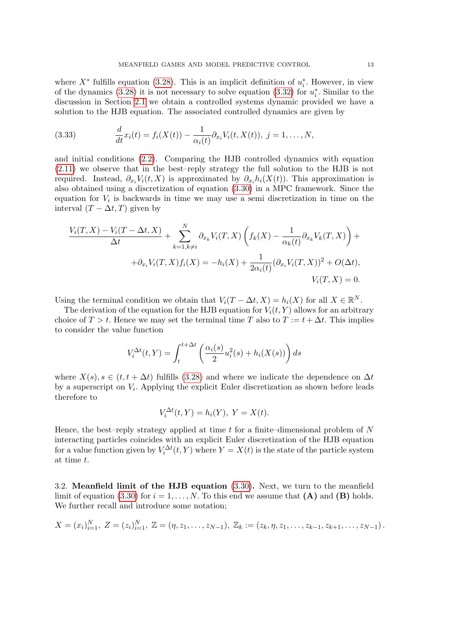where  $X^*$  fulfills equation [\(3.28\)](#page-10-0). This is an implicit definition of  $u_i^*$ . However, in view of the dynamics [\(3.28\)](#page-10-0) it is not necessary to solve equation [\(3.32\)](#page-11-1) for  $u_i^*$ . Similar to the discussion in Section [2.1](#page-5-0) we obtain a controlled systems dynamic provided we have a solution to the HJB equation. The associated controlled dynamics are given by

(3.33) 
$$
\frac{d}{dt}x_i(t) = f_i(X(t)) - \frac{1}{\alpha_i(t)} \partial_{x_i} V_i(t, X(t)), \ j = 1, ..., N,
$$

and initial conditions [\(2.2\)](#page-3-2). Comparing the HJB controlled dynamics with equation [\(2.11\)](#page-6-1) we observe that in the best–reply strategy the full solution to the HJB is not required. Instead,  $\partial_{x_i}V_i(t, X)$  is approximated by  $\partial_{x_i}h_i(X(t))$ . This approximation is also obtained using a discretization of equation [\(3.30\)](#page-11-0) in a MPC framework. Since the equation for  $V_i$  is backwards in time we may use a semi discretization in time on the interval  $(T - \Delta t, T)$  given by

$$
\frac{V_i(T, X) - V_i(T - \Delta t, X)}{\Delta t} + \sum_{k=1, k \neq i}^{N} \partial_{x_k} V_i(T, X) \left( f_k(X) - \frac{1}{\alpha_k(t)} \partial_{x_k} V_k(T, X) \right) +
$$
  
+  $\partial_{x_i} V_i(T, X) f_i(X) = -h_i(X) + \frac{1}{2\alpha_i(t)} (\partial_{x_i} V_i(T, X))^2 + O(\Delta t),$   
 $V_i(T, X) = 0.$ 

Using the terminal condition we obtain that  $V_i(T - \Delta t, X) = h_i(X)$  for all  $X \in \mathbb{R}^N$ .

The derivation of the equation for the HJB equation for  $V_i(t, Y)$  allows for an arbitrary choice of  $T > t$ . Hence we may set the terminal time T also to  $T := t + \Delta t$ . This implies to consider the value function

$$
V_i^{\Delta t}(t,Y) = \int_t^{t+\Delta t} \left(\frac{\alpha_i(s)}{2}u_i^2(s) + h_i(X(s))\right) ds
$$

where  $X(s)$ ,  $s \in (t, t + \Delta t)$  fulfills [\(3.28\)](#page-10-0) and where we indicate the dependence on  $\Delta t$ by a superscript on  $V_i$ . Applying the explicit Euler discretization as shown before leads therefore to

$$
V_i^{\Delta t}(t, Y) = h_i(Y), \ Y = X(t).
$$

Hence, the best–reply strategy applied at time  $t$  for a finite–dimensional problem of  $N$ interacting particles coincides with an explicit Euler discretization of the HJB equation for a value function given by  $V_i^{\Delta t}(t, Y)$  where  $Y = X(t)$  is the state of the particle system at time t.

3.2. Meanfield limit of the HJB equation [\(3.30\)](#page-11-0). Next, we turn to the meanfield limit of equation [\(3.30\)](#page-11-0) for  $i = 1, ..., N$ . To this end we assume that (A) and (B) holds. We further recall and introduce some notation;

$$
X = (x_i)_{i=1}^N, \ Z = (z_i)_{i=1}^N, \ \mathbb{Z} = (\eta, z_1, \ldots, z_{N-1}), \ \mathbb{Z}_k := (z_k, \eta, z_1, \ldots, z_{k-1}, z_{k+1}, \ldots, z_{N-1}).
$$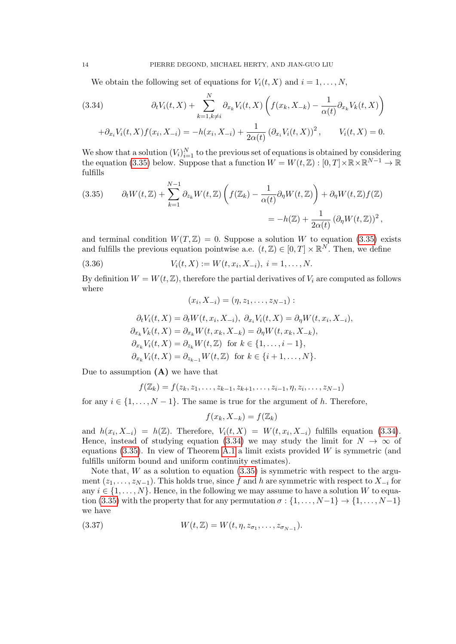We obtain the following set of equations for  $V_i(t, X)$  and  $i = 1, \ldots, N$ ,

<span id="page-13-1"></span>(3.34) 
$$
\partial_t V_i(t, X) + \sum_{k=1, k \neq i}^N \partial_{x_k} V_i(t, X) \left( f(x_k, X_{-k}) - \frac{1}{\alpha(t)} \partial_{x_k} V_k(t, X) \right)
$$

$$
+ \partial_{x_i} V_i(t, X) f(x_i, X_{-i}) = -h(x_i, X_{-i}) + \frac{1}{2\alpha(t)} (\partial_{x_i} V_i(t, X))^2, \qquad V_i(t, X) = 0.
$$

We show that a solution  $(V_i)_{i=1}^N$  to the previous set of equations is obtained by considering the equation [\(3.35\)](#page-13-0) below. Suppose that a function  $W = W(t, \mathbb{Z}) : [0, T] \times \mathbb{R} \times \mathbb{R}^{N-1} \to \mathbb{R}$ fulfills

<span id="page-13-0"></span>(3.35) 
$$
\partial_t W(t, \mathbb{Z}) + \sum_{k=1}^{N-1} \partial_{z_k} W(t, \mathbb{Z}) \left( f(\mathbb{Z}_k) - \frac{1}{\alpha(t)} \partial_{\eta} W(t, \mathbb{Z}) \right) + \partial_{\eta} W(t, \mathbb{Z}) f(\mathbb{Z})
$$

$$
= -h(\mathbb{Z}) + \frac{1}{2\alpha(t)} \left( \partial_{\eta} W(t, \mathbb{Z}) \right)^2,
$$

and terminal condition  $W(T, Z) = 0$ . Suppose a solution W to equation [\(3.35\)](#page-13-0) exists and fulfills the previous equation pointwise a.e.  $(t, \mathbb{Z}) \in [0, T] \times \mathbb{R}^N$ . Then, we define

(3.36) 
$$
V_i(t, X) := W(t, x_i, X_{-i}), i = 1, ..., N.
$$

By definition  $W = W(t, \mathbb{Z})$ , therefore the partial derivatives of  $V_i$  are computed as follows where

<span id="page-13-2"></span>
$$
(x_i, X_{-i}) = (\eta, z_1, \ldots, z_{N-1}) :
$$

$$
\partial_t V_i(t, X) = \partial_t W(t, x_i, X_{-i}), \ \partial_{x_i} V_i(t, X) = \partial_{\eta} W(t, x_i, X_{-i}),
$$
  
\n
$$
\partial_{x_k} V_k(t, X) = \partial_{x_k} W(t, x_k, X_{-k}) = \partial_{\eta} W(t, x_k, X_{-k}),
$$
  
\n
$$
\partial_{x_k} V_i(t, X) = \partial_{z_k} W(t, \mathbb{Z}) \text{ for } k \in \{1, \dots, i - 1\},
$$
  
\n
$$
\partial_{x_k} V_i(t, X) = \partial_{z_{k-1}} W(t, \mathbb{Z}) \text{ for } k \in \{i + 1, \dots, N\}.
$$

Due to assumption  $(A)$  we have that

$$
f(\mathbb{Z}_k) = f(z_k, z_1, \dots, z_{k-1}, z_{k+1}, \dots, z_{i-1}, \eta, z_i, \dots, z_{N-1})
$$

for any  $i \in \{1, \ldots, N-1\}$ . The same is true for the argument of h. Therefore,

$$
f(x_k, X_{-k}) = f(\mathbb{Z}_k)
$$

and  $h(x_i, X_{-i}) = h(\mathbb{Z})$ . Therefore,  $V_i(t, X) = W(t, x_i, X_{-i})$  fulfills equation [\(3.34\)](#page-13-1). Hence, instead of studying equation [\(3.34\)](#page-13-1) we may study the limit for  $N \to \infty$  of equations  $(3.35)$ . In view of Theorem [A.1](#page-18-0) a limit exists provided W is symmetric (and fulfills uniform bound and uniform continuity estimates).

Note that,  $W$  as a solution to equation  $(3.35)$  is symmetric with respect to the argument  $(z_1, \ldots, z_{N-1})$ . This holds true, since f and h are symmetric with respect to  $X_{-i}$  for any  $i \in \{1, \ldots, N\}$ . Hence, in the following we may assume to have a solution W to equa-tion [\(3.35\)](#page-13-0) with the property that for any permutation  $\sigma : \{1, \ldots, N-1\} \rightarrow \{1, \ldots, N-1\}$ we have

(3.37) 
$$
W(t, \mathbb{Z}) = W(t, \eta, z_{\sigma_1}, \dots, z_{\sigma_{N-1}}).
$$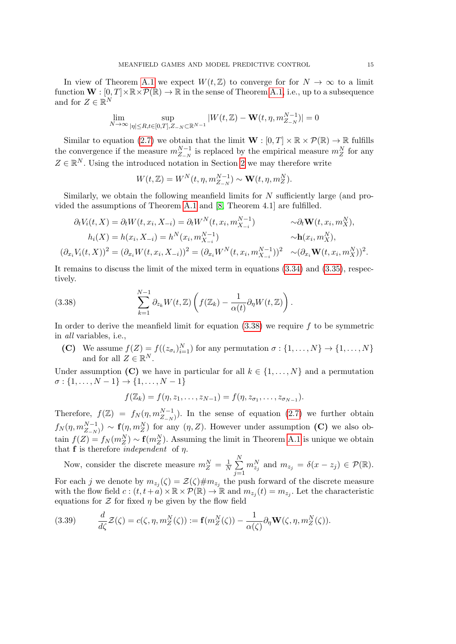In view of Theorem [A.1](#page-18-0) we expect  $W(t, \mathbb{Z})$  to converge for for  $N \to \infty$  to a limit function  $\mathbf{W} : [0, T] \times \mathbb{R} \times \mathcal{P}(\mathbb{R}) \to \mathbb{R}$  in the sense of Theorem [A.1,](#page-18-0) i.e., up to a subsequence and for  $Z \in \mathbb{R}^N$ 

$$
\lim_{N\to\infty}\sup_{|\eta|\leq R,t\in[0,T],Z_{-N}\subset\mathbb{R}^{N-1}}|W(t,\mathbb{Z})-\mathbf{W}(t,\eta,m_{Z_{-N}}^{N-1})|=0
$$

Similar to equation [\(2.7\)](#page-5-1) we obtain that the limit  $\mathbf{W} : [0, T] \times \mathbb{R} \times \mathcal{P}(\mathbb{R}) \to \mathbb{R}$  fulfills the convergence if the measure  $m_{Z-N}^{N-1}$  is replaced by the empirical measure  $m_Z^N$  for any  $Z \in \mathbb{R}^N$ . Using the introduced notation in Section [2](#page-3-0) we may therefore write

$$
W(t, \mathbb{Z}) = W^N(t, \eta, m_{Z_{-N}}^{N-1}) \sim \mathbf{W}(t, \eta, m_Z^N).
$$

Similarly, we obtain the following meanfield limits for N sufficiently large (and provided the assumptions of Theorem [A.1](#page-18-0) and [\[8,](#page-21-3) Theorem 4.1] are fulfilled.

$$
\partial_t V_i(t, X) = \partial_t W(t, x_i, X_{-i}) = \partial_t W^N(t, x_i, m_{X_{-i}}^{N-1}) \qquad \sim \partial_t \mathbf{W}(t, x_i, m_X^N),
$$
  
\n
$$
h_i(X) = h(x_i, X_{-i}) = h^N(x_i, m_{X_{-i}}^{N-1}) \qquad \sim \mathbf{h}(x_i, m_X^N),
$$
  
\n
$$
(\partial_{x_i} V_i(t, X))^2 = (\partial_{x_i} W(t, x_i, X_{-i}))^2 = (\partial_{x_i} W^N(t, x_i, m_{X_{-i}}^{N-1}))^2 \sim (\partial_{x_i} \mathbf{W}(t, x_i, m_X^N))^2.
$$

It remains to discuss the limit of the mixed term in equations [\(3.34\)](#page-13-1) and [\(3.35\)](#page-13-0), respectively.

<span id="page-14-0"></span>(3.38) 
$$
\sum_{k=1}^{N-1} \partial_{z_k} W(t, \mathbb{Z}) \left( f(\mathbb{Z}_k) - \frac{1}{\alpha(t)} \partial_{\eta} W(t, \mathbb{Z}) \right).
$$

In order to derive the meanfield limit for equation  $(3.38)$  we require f to be symmetric in all variables, i.e.,

(C) We assume  $f(Z) = f((z_{\sigma_i})_{i=1}^N)$  for any permutation  $\sigma : \{1, \ldots, N\} \to \{1, \ldots, N\}$ and for all  $Z \in \mathbb{R}^N$ .

Under assumption (C) we have in particular for all  $k \in \{1, \ldots, N\}$  and a permutation  $\sigma: \{1, \ldots, N-1\} \to \{1, \ldots, N-1\}$ 

$$
f(\mathbb{Z}_k)=f(\eta,z_1,\ldots,z_{N-1})=f(\eta,z_{\sigma_1},\ldots,z_{\sigma_{N-1}}).
$$

Therefore,  $f(\mathbb{Z}) = f_N(\eta, m_{Z_{-N}}^{N-1})$ . In the sense of equation [\(2.7\)](#page-5-1) we further obtain  $f_N(\eta, m_{Z-N}^{N-1}) \sim \mathbf{f}(\eta, m_Z^N)$  for any  $(\eta, Z)$ . However under assumption (C) we also obtain  $f(Z) = f_N(m_Z^N) \sim \mathbf{f}(m_Z^N)$ . Assuming the limit in Theorem [A.1](#page-18-0) is unique we obtain that  $f$  is therefore *independent* of  $\eta$ .

Now, consider the discrete measure  $m_Z^N = \frac{1}{N}$  $\frac{1}{N}$  $\sum_{n=1}^{N}$  $j=1$  $m_{z_j}^N$  and  $m_{z_j} = \delta(x - z_j) \in \mathcal{P}(\mathbb{R})$ .

For each j we denote by  $m_{z_j}(\zeta) = \mathcal{Z}(\zeta) \# m_{z_j}$  the push forward of the discrete measure with the flow field  $c:(t, t + a) \times \mathbb{R} \times \mathcal{P}(\mathbb{R}) \to \mathbb{R}$  and  $m_{z_j}(t) = m_{z_j}$ . Let the characteristic equations for  $\mathcal Z$  for fixed  $\eta$  be given by the flow field

(3.39) 
$$
\frac{d}{d\zeta}\mathcal{Z}(\zeta) = c(\zeta, \eta, m_Z^N(\zeta)) := \mathbf{f}(m_Z^N(\zeta)) - \frac{1}{\alpha(\zeta)}\partial_\eta \mathbf{W}(\zeta, \eta, m_Z^N(\zeta)).
$$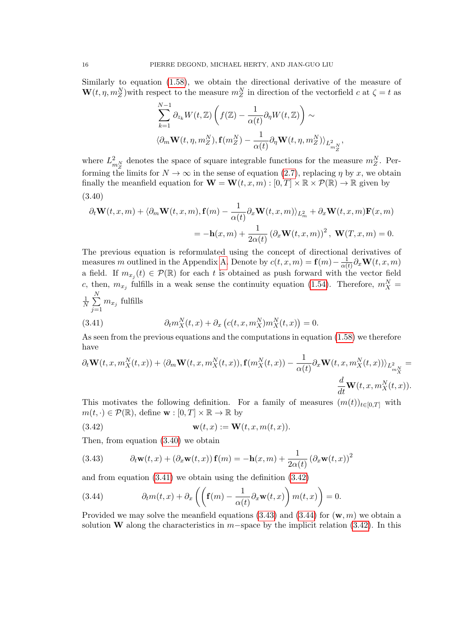Similarly to equation [\(1.58\)](#page-20-3), we obtain the directional derivative of the measure of  $\mathbf{W}(t, \eta, m_Z^N)$  with respect to the measure  $m_Z^N$  in direction of the vectorfield c at  $\zeta = t$  as

$$
\sum_{k=1}^{N-1} \partial_{z_k} W(t, \mathbb{Z}) \left( f(\mathbb{Z}) - \frac{1}{\alpha(t)} \partial_{\eta} W(t, \mathbb{Z}) \right) \sim
$$
  

$$
\langle \partial_m \mathbf{W}(t, \eta, m_Z^N), \mathbf{f}(m_Z^N) - \frac{1}{\alpha(t)} \partial_{\eta} \mathbf{W}(t, \eta, m_Z^N) \rangle_{L^2_{m_Z^N}}
$$

,

where  $L_{m_Z}^2$  denotes the space of square integrable functions for the measure  $m_Z^N$ . Performing the limits for  $N \to \infty$  in the sense of equation [\(2.7\)](#page-5-1), replacing  $\eta$  by x, we obtain finally the meanfield equation for  $\mathbf{W} = \mathbf{W}(t, x, m) : [0, T] \times \mathbb{R} \times \mathcal{P}(\mathbb{R}) \to \mathbb{R}$  given by (3.40)

<span id="page-15-0"></span>
$$
\partial_t \mathbf{W}(t, x, m) + \langle \partial_m \mathbf{W}(t, x, m), \mathbf{f}(m) - \frac{1}{\alpha(t)} \partial_x \mathbf{W}(t, x, m) \rangle_{L^2_m} + \partial_x \mathbf{W}(t, x, m) \mathbf{F}(x, m)
$$
  
=  $-\mathbf{h}(x, m) + \frac{1}{2\alpha(t)} (\partial_x \mathbf{W}(t, x, m))^2$ ,  $\mathbf{W}(T, x, m) = 0$ .

The previous equation is reformulated using the concept of directional derivatives of measures m outlined in the Appendix [A.](#page-18-1) Denote by  $c(t, x, m) = \mathbf{f}(m) - \frac{1}{\alpha}$  $\frac{1}{\alpha(t)} \partial_x \mathbf{W}(t,x,m)$ a field. If  $m_{x_j}(t) \in \mathcal{P}(\mathbb{R})$  for each t is obtained as push forward with the vector field c, then,  $m_{x_j}$  fulfills in a weak sense the continuity equation [\(1.54\)](#page-19-0). Therefore,  $m_X^N =$ 1  $\frac{1}{N}$  $\sum_{n=1}^{N}$  $\sum_{j=1} m_{x_j}$  fulfills

<span id="page-15-1"></span>(3.41) 
$$
\partial_t m_X^N(t,x) + \partial_x \left( c(t,x,m_X^N) m_X^N(t,x) \right) = 0.
$$

As seen from the previous equations and the computations in equation [\(1.58\)](#page-20-3) we therefore have

$$
\partial_t \mathbf{W}(t, x, m_X^N(t, x)) + \langle \partial_m \mathbf{W}(t, x, m_X^N(t, x)), \mathbf{f}(m_X^N(t, x)) - \frac{1}{\alpha(t)} \partial_x \mathbf{W}(t, x, m_X^N(t, x)) \rangle_{L^2_{m_X^N}} = \frac{d}{dt} \mathbf{W}(t, x, m_X^N(t, x)).
$$

This motivates the following definition. For a family of measures  $(m(t))_{t\in[0,T]}$  with  $m(t, \cdot) \in \mathcal{P}(\mathbb{R})$ , define  $\mathbf{w} : [0, T] \times \mathbb{R} \to \mathbb{R}$  by

<span id="page-15-2"></span>(3.42) 
$$
\mathbf{w}(t,x) := \mathbf{W}(t,x,m(t,x)).
$$

Then, from equation [\(3.40\)](#page-15-0) we obtain

<span id="page-15-3"></span>(3.43) 
$$
\partial_t \mathbf{w}(t,x) + (\partial_x \mathbf{w}(t,x)) \mathbf{f}(m) = -\mathbf{h}(x,m) + \frac{1}{2\alpha(t)} (\partial_x \mathbf{w}(t,x))^2
$$

and from equation [\(3.41\)](#page-15-1) we obtain using the definition [\(3.42\)](#page-15-2)

<span id="page-15-4"></span>(3.44) 
$$
\partial_t m(t,x) + \partial_x \left( \left( \mathbf{f}(m) - \frac{1}{\alpha(t)} \partial_x \mathbf{w}(t,x) \right) m(t,x) \right) = 0.
$$

Provided we may solve the meanfield equations  $(3.43)$  and  $(3.44)$  for  $(\mathbf{w}, m)$  we obtain a solution **W** along the characteristics in m−space by the implicit relation  $(3.42)$ . In this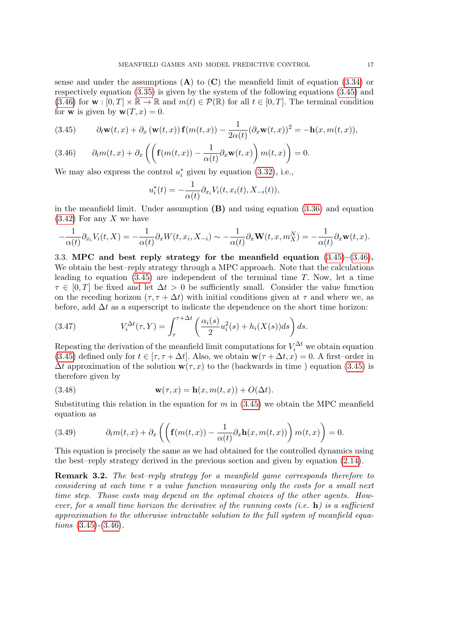sense and under the assumptions  $(A)$  to  $(C)$  the meanfield limit of equation [\(3.34\)](#page-13-1) or respectively equation [\(3.35\)](#page-13-0) is given by the system of the following equations [\(3.45\)](#page-16-0) and  $(3.46)$  for  $\mathbf{w} : [0, T] \times \mathbb{R} \to \mathbb{R}$  and  $m(t) \in \mathcal{P}(\mathbb{R})$  for all  $t \in [0, T]$ . The terminal condition for **w** is given by  $\mathbf{w}(T, x) = 0$ .

<span id="page-16-0"></span>(3.45) 
$$
\partial_t \mathbf{w}(t,x) + \partial_x \left( \mathbf{w}(t,x) \right) \mathbf{f}(m(t,x)) - \frac{1}{2\alpha(t)} (\partial_x \mathbf{w}(t,x))^2 = -\mathbf{h}(x,m(t,x)),
$$

<span id="page-16-1"></span>(3.46) 
$$
\partial_t m(t,x) + \partial_x \left( \left( \mathbf{f}(m(t,x)) - \frac{1}{\alpha(t)} \partial_x \mathbf{w}(t,x) \right) m(t,x) \right) = 0.
$$

We may also express the control  $u_i^*$  given by equation [\(3.32\)](#page-11-1), i.e.,

$$
u_i^*(t) = -\frac{1}{\alpha(t)} \partial_{x_i} V_i(t, x_i(t), X_{-i}(t)),
$$

in the meanfield limit. Under assumption  $(B)$  and using equation  $(3.36)$  and equation  $(3.42)$  For any X we have

$$
-\frac{1}{\alpha(t)}\partial_{x_i}V_i(t,X)=-\frac{1}{\alpha(t)}\partial_xW(t,x_i,X_{-i})\sim -\frac{1}{\alpha(t)}\partial_x\mathbf{W}(t,x,m_X^N)=-\frac{1}{\alpha(t)}\partial_x\mathbf{w}(t,x).
$$

3.3. MPC and best reply strategy for the meanfield equation [\(3.45\)](#page-16-0)–[\(3.46\)](#page-16-1). We obtain the best–reply strategy through a MPC approach. Note that the calculations leading to equation  $(3.45)$  are independent of the terminal time T. Now, let a time  $\tau \in [0, T]$  be fixed and let  $\Delta t > 0$  be sufficiently small. Consider the value function on the receding horizon  $(\tau, \tau + \Delta t)$  with initial conditions given at  $\tau$  and where we, as before, add  $\Delta t$  as a superscript to indicate the dependence on the short time horizon:

(3.47) 
$$
V_i^{\Delta t}(\tau, Y) = \int_{\tau}^{\tau + \Delta t} \left( \frac{\alpha_i(s)}{2} u_i^2(s) + h_i(X(s))ds \right) ds.
$$

Repeating the derivation of the meanfield limit computations for  $V_i^{\Delta t}$  we obtain equation [\(3.45\)](#page-16-0) defined only for  $t \in [\tau, \tau + \Delta t]$ . Also, we obtain  $\mathbf{w}(\tau + \Delta t, x) = 0$ . A first–order in  $\Delta t$  approximation of the solution  $\mathbf{w}(\tau, x)$  to the (backwards in time) equation [\(3.45\)](#page-16-0) is therefore given by

(3.48) 
$$
\mathbf{w}(\tau,x) = \mathbf{h}(x,m(t,x)) + O(\Delta t).
$$

Substituting this relation in the equation for m in  $(3.45)$  we obtain the MPC meanfield equation as

(3.49) 
$$
\partial_t m(t,x) + \partial_x \left( \left( \mathbf{f}(m(t,x)) - \frac{1}{\alpha(t)} \partial_x \mathbf{h}(x, m(t,x)) \right) m(t,x) \right) = 0.
$$

This equation is precisely the same as we had obtained for the controlled dynamics using the best–reply strategy derived in the previous section and given by equation [\(2.14\)](#page-7-4).

Remark 3.2. The best–reply strategy for a meanfield game corresponds therefore to considering at each time  $\tau$  a value function measuring only the costs for a small next time step. Those costs may depend on the optimal choices of the other agents. However, for a small time horizon the derivative of the running costs (i.e.  $\mathbf{h}$ ) is a sufficient approximation to the otherwise intractable solution to the full system of meanfield equations  $(3.45)-(3.46)$  $(3.45)-(3.46)$  $(3.45)-(3.46)$ .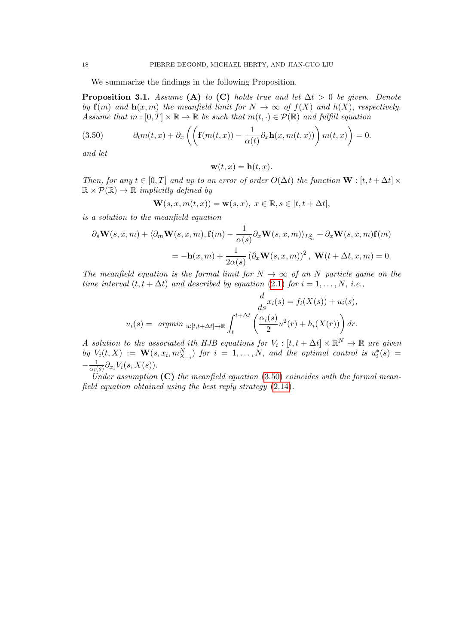We summarize the findings in the following Proposition.

<span id="page-17-0"></span>**Proposition 3.1.** Assume (A) to (C) holds true and let  $\Delta t > 0$  be given. Denote by  $f(m)$  and  $h(x, m)$  the meanfield limit for  $N \to \infty$  of  $f(X)$  and  $h(X)$ , respectively. Assume that  $m : [0, T] \times \mathbb{R} \to \mathbb{R}$  be such that  $m(t, \cdot) \in \mathcal{P}(\mathbb{R})$  and fulfill equation

<span id="page-17-1"></span>(3.50) 
$$
\partial_t m(t,x) + \partial_x \left( \left( \mathbf{f}(m(t,x)) - \frac{1}{\alpha(t)} \partial_x \mathbf{h}(x, m(t,x)) \right) m(t,x) \right) = 0.
$$

and let

$$
\mathbf{w}(t,x) = \mathbf{h}(t,x).
$$

Then, for any  $t \in [0, T]$  and up to an error of order  $O(\Delta t)$  the function  $\mathbf{W} : [t, t + \Delta t] \times$  $\mathbb{R} \times \mathcal{P}(\mathbb{R}) \to \mathbb{R}$  implicitly defined by

$$
\mathbf{W}(s,x,m(t,x)) = \mathbf{w}(s,x), \ x \in \mathbb{R}, s \in [t, t + \Delta t],
$$

is a solution to the meanfield equation

$$
\partial_s \mathbf{W}(s, x, m) + \langle \partial_m \mathbf{W}(s, x, m), \mathbf{f}(m) - \frac{1}{\alpha(s)} \partial_x \mathbf{W}(s, x, m) \rangle_{L^2_m} + \partial_x \mathbf{W}(s, x, m) \mathbf{f}(m)
$$
  
=  $-\mathbf{h}(x, m) + \frac{1}{2\alpha(s)} (\partial_x \mathbf{W}(s, x, m))^2$ ,  $\mathbf{W}(t + \Delta t, x, m) = 0$ .

The meanfield equation is the formal limit for  $N \to \infty$  of an N particle game on the time interval  $(t, t + \Delta t)$  and described by equation [\(2.1\)](#page-3-1) for  $i = 1, ..., N$ , i.e.,

$$
\frac{d}{ds}x_i(s) = f_i(X(s)) + u_i(s),
$$
  

$$
u_i(s) = \operatorname{argmin}_{u:[t,t+\Delta t] \to \mathbb{R}} \int_t^{t+\Delta t} \left(\frac{\alpha_i(s)}{2}u^2(r) + h_i(X(r))\right) dr.
$$

A solution to the associated ith HJB equations for  $V_i : [t, t + \Delta t] \times \mathbb{R}^N \to \mathbb{R}$  are given by  $V_i(t, X) := \mathbf{W}(s, x_i, m_{X_{-i}}^N)$  for  $i = 1, \ldots, N$ , and the optimal control is  $u_i^*(s) =$  $-\frac{1}{\alpha}$  $\frac{1}{\alpha_i(s)} \partial_{x_i} V_i(s,X(s)).$ 

Under assumption  $(C)$  the meanfield equation [\(3.50\)](#page-17-1) coincides with the formal meanfield equation obtained using the best reply strategy [\(2.14\)](#page-7-4).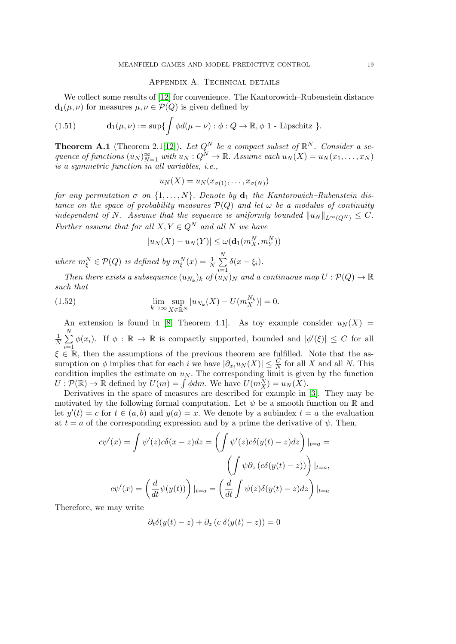### Appendix A. Technical details

<span id="page-18-1"></span>We collect some results of [\[12\]](#page-21-7) for convenience. The Kantorowich–Rubenstein distance  $\mathbf{d}_1(\mu, \nu)$  for measures  $\mu, \nu \in \mathcal{P}(Q)$  is given defined by

<span id="page-18-2"></span>(1.51) 
$$
\mathbf{d}_1(\mu,\nu) := \sup \{ \int \phi d(\mu-\nu) : \phi : Q \to \mathbb{R}, \phi \text{ 1 - Lipschitz } \}.
$$

<span id="page-18-0"></span>**Theorem A.1** (Theorem 2.1[\[12\]](#page-21-7)). Let  $Q^N$  be a compact subset of  $\mathbb{R}^N$ . Consider a sequence of functions  $(u_N)_{N=1}^{\infty}$  with  $u_N: Q^N \to \mathbb{R}$ . Assume each  $u_N(X) = u_N(x_1, \dots, x_N)$ is a symmetric function in all variables, i.e.,

$$
u_N(X) = u_N(x_{\sigma(1)}, \ldots, x_{\sigma(N)})
$$

for any permutation  $\sigma$  on  $\{1, \ldots, N\}$ . Denote by  $\mathbf{d}_1$  the Kantorowich–Rubenstein distance on the space of probability measures  $\mathcal{P}(Q)$  and let  $\omega$  be a modulus of continuity independent of N. Assume that the sequence is uniformly bounded  $||u_N||_{L^{\infty}(O^N)} \leq C$ . Further assume that for all  $X, Y \in Q^N$  and all N we have

$$
|u_N(X) - u_N(Y)| \le \omega(\mathbf{d}_1(m_X^N, m_Y^N))
$$

where  $m_{\xi}^N \in \mathcal{P}(Q)$  is defined by  $m_{\xi}^N(x) = \frac{1}{N} \sum_{i=1}^N$  $i=1$  $\delta(x-\xi_i)$ .

Then there exists a subsequence  $(u_{N_k})_k$  of  $(u_N)_N$  and a continuous map  $U: \mathcal{P}(Q) \to \mathbb{R}$ such that

(1.52) 
$$
\lim_{k \to \infty} \sup_{X \in \mathbb{R}^N} |u_{N_k}(X) - U(m_X^{N_k})| = 0.
$$

An extension is found in [\[8,](#page-21-3) Theorem 4.1]. As toy example consider  $u_N(X)$  = 1  $\frac{1}{N}$  $\sum_{n=1}^{N}$  $i=1$  $\phi(x_i)$ . If  $\phi : \mathbb{R} \to \mathbb{R}$  is compactly supported, bounded and  $|\phi'(\xi)| \leq C$  for all  $\xi \in \mathbb{R}$ , then the assumptions of the previous theorem are fulfilled. Note that the assumption on  $\phi$  implies that for each i we have  $|\partial_{x_i} u_N(X)| \leq \frac{C}{N}$  for all X and all N. This condition implies the estimate on  $u_N$ . The corresponding limit is given by the function  $U: \mathcal{P}(\mathbb{R}) \to \mathbb{R}$  defined by  $U(m) = \int \phi dm$ . We have  $U(m_X^N) = u_N(X)$ .

Derivatives in the space of measures are described for example in [\[3\]](#page-20-4). They may be motivated by the following formal computation. Let  $\psi$  be a smooth function on R and let  $y'(t) = c$  for  $t \in (a, b)$  and  $y(a) = x$ . We denote by a subindex  $t = a$  the evaluation at  $t = a$  of the corresponding expression and by a prime the derivative of  $\psi$ . Then,

$$
c\psi'(x) = \int \psi'(z)c\delta(x-z)dz = \left(\int \psi'(z)c\delta(y(t)-z)dz\right)|_{t=a} =
$$

$$
\left(\int \psi \partial_z (c\delta(y(t)-z))\right)|_{t=a},
$$

$$
c\psi'(x) = \left(\frac{d}{dt}\psi(y(t))\right)|_{t=a} = \left(\frac{d}{dt}\int \psi(z)\delta(y(t)-z)dz\right)|_{t=a}
$$

Therefore, we may write

$$
\partial_t \delta(y(t) - z) + \partial_z (c \delta(y(t) - z)) = 0
$$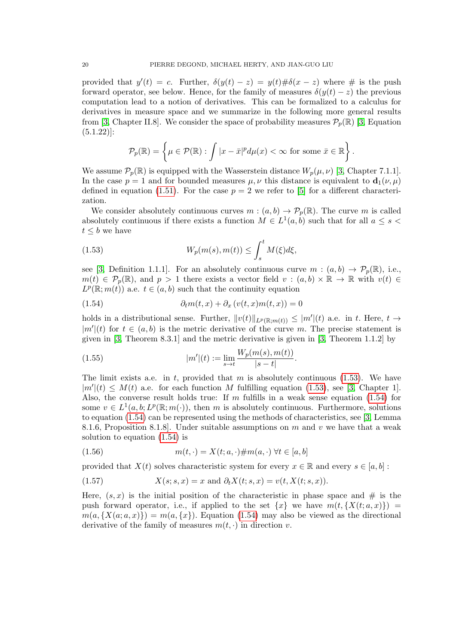provided that  $y'(t) = c$ . Further,  $\delta(y(t) - z) = y(t) \# \delta(x - z)$  where # is the push forward operator, see below. Hence, for the family of measures  $\delta(y(t) - z)$  the previous computation lead to a notion of derivatives. This can be formalized to a calculus for derivatives in measure space and we summarize in the following more general results from [\[3,](#page-20-4) Chapter II.8]. We consider the space of probability measures  $\mathcal{P}_p(\mathbb{R})$  [3, Equation  $(5.1.22)$ :

$$
\mathcal{P}_p(\mathbb{R}) = \left\{ \mu \in \mathcal{P}(\mathbb{R}) : \int |x - \bar{x}|^p d\mu(x) < \infty \text{ for some } \bar{x} \in \mathbb{R} \right\}.
$$

We assume  $\mathcal{P}_p(\mathbb{R})$  is equipped with the Wasserstein distance  $W_p(\mu, \nu)$  [\[3,](#page-20-4) Chapter 7.1.1]. In the case  $p = 1$  and for bounded measures  $\mu, \nu$  this distance is equivalent to  $\mathbf{d}_1(\nu, \mu)$ defined in equation [\(1.51\)](#page-18-2). For the case  $p = 2$  we refer to [\[5\]](#page-20-5) for a different characterization.

We consider absolutely continuous curves  $m : (a, b) \to \mathcal{P}_p(\mathbb{R})$ . The curve m is called absolutely continuous if there exists a function  $M \in L^1(a, b)$  such that for all  $a \leq s$  $t \leq b$  we have

<span id="page-19-1"></span>(1.53) 
$$
W_p(m(s), m(t)) \leq \int_s^t M(\xi) d\xi,
$$

see [\[3,](#page-20-4) Definition 1.1.1]. For an absolutely continuous curve  $m:(a,b)\to \mathcal{P}_p(\mathbb{R})$ , i.e.,  $m(t) \in \mathcal{P}_p(\mathbb{R})$ , and  $p > 1$  there exists a vector field  $v : (a, b) \times \mathbb{R} \to \mathbb{R}$  with  $v(t) \in$  $L^p(\mathbb{R};m(t))$  a.e.  $t \in (a,b)$  such that the continuity equation

<span id="page-19-0"></span>(1.54) 
$$
\partial_t m(t,x) + \partial_x \left( v(t,x)m(t,x) \right) = 0
$$

holds in a distributional sense. Further,  $||v(t)||_{L^p(\mathbb{R};m(t))} \leq |m'|(t)$  a.e. in t. Here,  $t \to$  $|m'(t)$  for  $t \in (a, b)$  is the metric derivative of the curve m. The precise statement is given in [\[3,](#page-20-4) Theorem 8.3.1] and the metric derivative is given in [\[3,](#page-20-4) Theorem 1.1.2] by

(1.55) 
$$
|m'|(t) := \lim_{s \to t} \frac{W_p(m(s), m(t))}{|s - t|}.
$$

The limit exists a.e. in t, provided that m is absolutely continuous  $(1.53)$ . We have  $|m'(t) \leq M(t)$  a.e. for each function M fulfilling equation [\(1.53\)](#page-19-1), see [\[3,](#page-20-4) Chapter 1]. Also, the converse result holds true: If  $m$  fulfills in a weak sense equation [\(1.54\)](#page-19-0) for some  $v \in L^1(a, b; L^p(\mathbb{R}; m(\cdot)))$ , then m is absolutely continuous. Furthermore, solutions to equation [\(1.54\)](#page-19-0) can be represented using the methods of characteristics, see [\[3,](#page-20-4) Lemma 8.1.6, Proposition 8.1.8. Under suitable assumptions on  $m$  and  $v$  we have that a weak solution to equation [\(1.54\)](#page-19-0) is

$$
(1.56) \qquad \qquad m(t, \cdot) = X(t; a, \cdot) \# m(a, \cdot) \ \forall t \in [a, b]
$$

provided that  $X(t)$  solves characteristic system for every  $x \in \mathbb{R}$  and every  $s \in [a, b]$ :

(1.57) 
$$
X(s; s, x) = x \text{ and } \partial_t X(t; s, x) = v(t, X(t; s, x)).
$$

Here,  $(s, x)$  is the initial position of the characteristic in phase space and  $\#$  is the push forward operator, i.e., if applied to the set  $\{x\}$  we have  $m(t, \{X(t; a, x)\})$  $m(a, {X(a;a,x)}$  =  $m(a,{x})$ . Equation [\(1.54\)](#page-19-0) may also be viewed as the directional derivative of the family of measures  $m(t, \cdot)$  in direction v.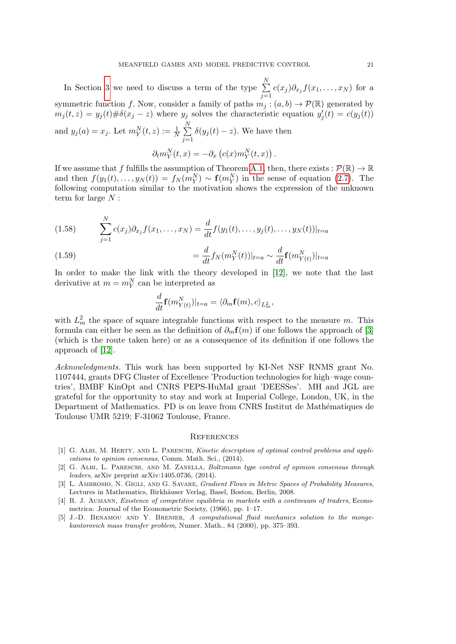In Section [3](#page-8-0) we need to discuss a term of the type  $\sum_{n=1}^{N}$  $\sum_{j=1} c(x_j) \partial_{x_j} f(x_1, \ldots, x_N)$  for a symmetric function f. Now, consider a family of paths  $m_j : (a, b) \to \mathcal{P}(\mathbb{R})$  generated by  $m_j(t, z) = y_j(t) \# \delta(x_j - z)$  where  $y_j$  solves the characteristic equation  $y'_j(t) = c(y_j(t))$ and  $y_j(a) = x_j$ . Let  $m_Y^N(t, z) := \frac{1}{N} \sum_{i=1}^N$  $j=1$  $\delta(y_j(t)-z)$ . We have then  $\partial_t m_Y^N(t,x) = -\partial_x \left( c(x) m_Y^N(t,x) \right).$ 

If we assume that f fulfills the assumption of Theorem [A.1,](#page-18-0) then, there exists :  $\mathcal{P}(\mathbb{R}) \to \mathbb{R}$ and then  $f(y_1(t),..., y_N(t)) = f_N(m_Y^N) \sim \mathbf{f}(m_Y^N)$  in the sense of equation [\(2.7\)](#page-5-1). The following computation similar to the motivation shows the expression of the unknown term for large  $N$  :

<span id="page-20-3"></span>(1.58) 
$$
\sum_{j=1}^{N} c(x_j) \partial_{x_j} f(x_1, \dots, x_N) = \frac{d}{dt} f(y_1(t), \dots, y_j(t), \dots, y_N(t))|_{t=a}
$$

(1.59) 
$$
= \frac{d}{dt} f_N(m_Y^N(t))|_{t=a} \sim \frac{d}{dt} \mathbf{f}(m_{Y(t)}^N)|_{t=a}
$$

In order to make the link with the theory developed in [\[12\]](#page-21-7), we note that the last derivative at  $m = m_Y^N$  can be interpreted as

$$
\frac{d}{dt}\mathbf{f}(m_{Y(t)}^N)|_{t=a} = \langle \partial_m \mathbf{f}(m), c \rangle_{L_m^2},
$$

with  $L_m^2$  the space of square integrable functions with respect to the measure m. This formula can either be seen as the definition of  $\partial_m f(m)$  if one follows the approach of [\[3\]](#page-20-4) (which is the route taken here) or as a consequence of its definition if one follows the approach of [\[12\]](#page-21-7).

Acknowledgments. This work has been supported by KI-Net NSF RNMS grant No. 1107444, grants DFG Cluster of Excellence 'Production technologies for high–wage countries', BMBF KinOpt and CNRS PEPS-HuMaI grant 'DEESSes'. MH and JGL are grateful for the opportunity to stay and work at Imperial College, London, UK, in the Department of Mathematics. PD is on leave from CNRS Institut de Mathématiques de Toulouse UMR 5219; F-31062 Toulouse, France.

#### **REFERENCES**

- <span id="page-20-1"></span>[1] G. ALBI, M. HERTY, AND L. PARESCHI, Kinetic description of optimal control problems and applications to opinion consensus, Comm. Math. Sci., (2014).
- <span id="page-20-2"></span>[2] G. ALBI, L. PARESCHI, AND M. ZANELLA, Boltzmann type control of opinion consensus through leaders, arXiv preprint arXiv:1405.0736, (2014).
- <span id="page-20-4"></span>[3] L. AMBROSIO, N. GIGLI, AND G. SAVARE, Gradient Flows in Metric Spaces of Probability Measures, Lectures in Mathematics, Birkhäuser Verlag, Basel, Boston, Berlin, 2008.
- <span id="page-20-0"></span>[4] R. J. AUMANN, *Existence of competitive equilibria in markets with a continuum of traders*, Econometrica: Journal of the Econometric Society, (1966), pp. 1–17.
- <span id="page-20-5"></span>[5] J.-D. Benamou and Y. Brenier, A computational fluid mechanics solution to the mongekantorovich mass transfer problem, Numer. Math., 84 (2000), pp. 375–393.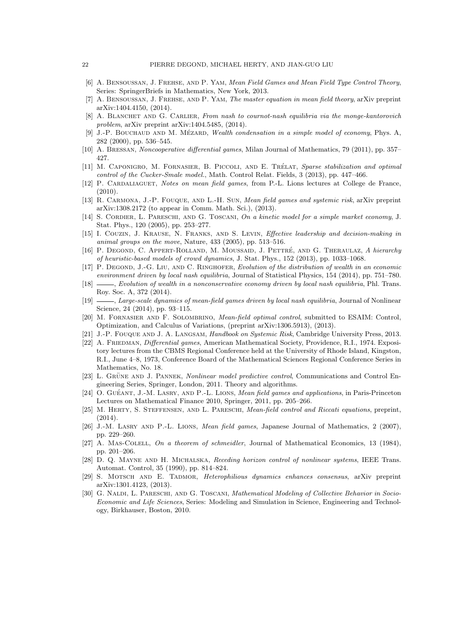- <span id="page-21-5"></span>[6] A. BENSOUSSAN, J. FREHSE, AND P. YAM, Mean Field Games and Mean Field Type Control Theory, Series: SpringerBriefs in Mathematics, New York, 2013.
- <span id="page-21-4"></span>[7] A. BENSOUSSAN, J. FREHSE, AND P. YAM, The master equation in mean field theory, arXiv preprint arXiv:1404.4150, (2014).
- <span id="page-21-3"></span>[8] A. BLANCHET AND G. CARLIER, From nash to cournot-nash equilibria via the monge-kantorovich problem, arXiv preprint arXiv:1404.5485, (2014).
- <span id="page-21-21"></span>J.-P. BOUCHAUD AND M. MÉZARD, Wealth condensation in a simple model of economy, Phys. A, 282 (2000), pp. 536–545.
- <span id="page-21-24"></span>[10] A. BRESSAN, Noncooperative differential games, Milan Journal of Mathematics, 79 (2011), pp. 357– 427.
- <span id="page-21-15"></span>[11] M. CAPONIGRO, M. FORNASIER, B. PICCOLI, AND E. TRÉLAT, Sparse stabilization and optimal control of the Cucker-Smale model., Math. Control Relat. Fields, 3 (2013), pp. 447–466.
- <span id="page-21-7"></span>[12] P. CARDALIAGUET, Notes on mean field games, from P.-L. Lions lectures at College de France, (2010).
- <span id="page-21-8"></span>[13] R. CARMONA, J.-P. FOUQUE, AND L.-H. SUN, Mean field games and systemic risk, arXiv preprint arXiv:1308.2172 (to appear in Comm. Math. Sci.), (2013).
- <span id="page-21-22"></span>[14] S. CORDIER, L. PARESCHI, AND G. TOSCANI, On a kinetic model for a simple market economy, J. Stat. Phys., 120 (2005), pp. 253–277.
- <span id="page-21-13"></span>[15] I. COUZIN, J. KRAUSE, N. FRANKS, AND S. LEVIN, Effective leadership and decision-making in animal groups on the move, Nature, 433 (2005), pp. 513–516.
- <span id="page-21-10"></span>[16] P. DEGOND, C. APPERT-ROLLAND, M. MOUSSAID, J. PETTRÉ, AND G. THERAULAZ, A hierarchy of heuristic-based models of crowd dynamics, J. Stat. Phys., 152 (2013), pp. 1033–1068.
- <span id="page-21-11"></span>[17] P. DEGOND, J.-G. LIU, AND C. RINGHOFER, Evolution of the distribution of wealth in an economic environment driven by local nash equilibria, Journal of Statistical Physics, 154 (2014), pp. 751–780.
- <span id="page-21-12"></span>[18]  $\_\_\_\_\_\$  Evolution of wealth in a nonconservative economy driven by local nash equilibria, Phl. Trans. Roy. Soc. A, 372 (2014).
- <span id="page-21-9"></span>[19]  $\_\_\_\_\_\_\_\_\_\_\_\_\_\_\_\_\_\_\_\_\_\.\_$  Large-scale dynamics of mean-field games driven by local nash equilibria, Journal of Nonlinear Science, 24 (2014), pp. 93–115.
- <span id="page-21-14"></span>[20] M. Fornasier and F. Solombrino, Mean-field optimal control, submitted to ESAIM: Control, Optimization, and Calculus of Variations, (preprint arXiv:1306.5913), (2013).
- <span id="page-21-0"></span>[21] J.-P. FOUQUE AND J. A. LANGSAM, Handbook on Systemic Risk, Cambridge University Press, 2013.
- <span id="page-21-23"></span>[22] A. FRIEDMAN, *Differential games*, American Mathematical Society, Providence, R.I., 1974. Expository lectures from the CBMS Regional Conference held at the University of Rhode Island, Kingston, R.I., June 4–8, 1973, Conference Board of the Mathematical Sciences Regional Conference Series in Mathematics, No. 18.
- <span id="page-21-16"></span>[23] L. GRÜNE AND J. PANNEK, Nonlinear model predictive control, Communications and Control Engineering Series, Springer, London, 2011. Theory and algorithms.
- <span id="page-21-6"></span>[24] O. GUÉANT, J.-M. LASRY, AND P.-L. LIONS, *Mean field games and applications*, in Paris-Princeton Lectures on Mathematical Finance 2010, Springer, 2011, pp. 205–266.
- <span id="page-21-18"></span>[25] M. HERTY, S. STEFFENSEN, AND L. PARESCHI, *Mean-field control and Riccati equations*, preprint, (2014).
- <span id="page-21-2"></span>[26] J.-M. LASRY AND P.-L. LIONS, *Mean field games*, Japanese Journal of Mathematics, 2 (2007), pp. 229–260.
- <span id="page-21-1"></span>[27] A. MAS-COLELL, On a theorem of schmeidler, Journal of Mathematical Economics, 13 (1984), pp. 201–206.
- <span id="page-21-17"></span>[28] D. Q. Mayne and H. Michalska, Receding horizon control of nonlinear systems, IEEE Trans. Automat. Control, 35 (1990), pp. 814–824.
- <span id="page-21-19"></span>[29] S. Motsch and E. Tadmor, Heterophilious dynamics enhances consensus, arXiv preprint arXiv:1301.4123, (2013).
- <span id="page-21-20"></span>[30] G. NALDI, L. PARESCHI, AND G. TOSCANI, Mathematical Modeling of Collective Behavior in Socio-Economic and Life Sciences, Series: Modeling and Simulation in Science, Engineering and Technology, Birkhauser, Boston, 2010.